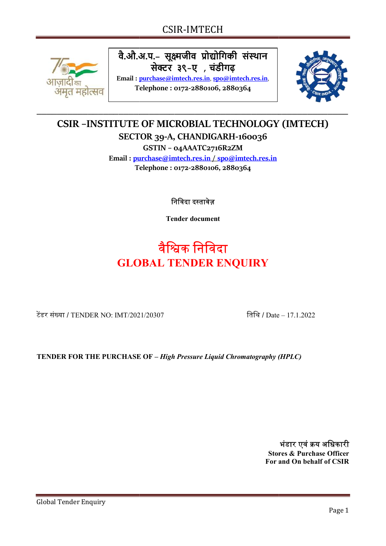

# वे.औ.अ.प.– सूक्ष्मजीव प्रोद्योगिकी संस्थान सेक्टर ३९-ए , चंडीगढ़

Email: purchase@imtech.res.in, spo@imtech.res.in, Telephone: 0172-2880106, 2880364



# CSIR -INSTITUTE OF MICROBIAL TECHNOLOGY (IMTECH) SECTOR 39 39-A, CHANDIGARH-160036

\_\_\_\_\_\_\_\_\_\_\_\_\_\_\_\_\_\_\_\_\_\_\_\_\_\_\_\_\_\_\_\_\_\_\_\_\_\_\_\_\_\_\_\_\_\_\_\_\_\_\_\_\_\_\_\_\_\_\_\_\_

GSTIN – 04AAATC2716R2ZM

Email : purchase@imtech.res.in / spo@imtech.res.in Telephone : 0172 0172-2880106, 2880364

िनिवदा द᭭तावज़े

Tender document

# GLOBAL TENDER ENQUIRY वैश्विक निविदा

टेंडर संख्या / TENDER NO: IMT/2021/20307

2021/20307 ितिथ / Date – 17.1.2022

TENDER FOR THE PURCHASE OF - High Pressure Liquid Chromatography (HPLC)

Stores & Purchase Officer For and On behalf of CSIR भंडार एवं क्रय अधिकारी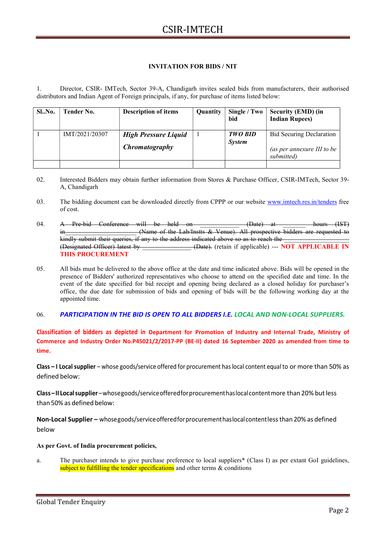# INVITATION FOR BIDS / NIT

1. Director, CSIR- IMTech, Sector 39-A, Chandigarh invites sealed bids from manufacturers, their authorised distributors and Indian Agent of Foreign principals, if any, for purchase of items listed below:

| S <sub>L.No</sub> | Tender No.     | <b>Description of items</b>                   | <b>Quantity</b> | Single / Two<br>bid             | <b>Security (EMD) (in</b><br><b>Indian Rupees</b> )                         |
|-------------------|----------------|-----------------------------------------------|-----------------|---------------------------------|-----------------------------------------------------------------------------|
|                   | IMT/2021/20307 | <b>High Pressure Liquid</b><br>Chromatography |                 | <b>TWO BID</b><br><b>System</b> | <b>Bid Securing Declaration</b><br>(as per annexure III to be<br>submitted) |
|                   |                |                                               |                 |                                 |                                                                             |

- 02. Interested Bidders may obtain further information from Stores & Purchase Officer, CSIR-IMTech, Sector 39- A, Chandigarh
- 03. The bidding document can be downloaded directly from CPPP or our website www.imtech.res.in/tenders free of cost.
- 04. A Pre-bid Conference will be held on **Conference** (Date) at **hours** (IST) in **in in in instead in the United States in the United States in the United States in the United States in the United States in the United States in the United States in the United States in the Unit** kindly submit their queries, if any to the address indicated above so as to reach the (Designated Officer) latest by \_\_\_\_\_\_\_\_\_\_\_\_\_\_\_ (Date). (retain if applicable) --- NOT APPLICABLE IN THIS PROCUREMENT
- 05. All bids must be delivered to the above office at the date and time indicated above. Bids will be opened in the presence of Bidders' authorized representatives who choose to attend on the specified date and time. In the event of the date specified for bid receipt and opening being declared as a closed holiday for purchaser's office, the due date for submission of bids and opening of bids will be the following working day at the appointed time.

#### 06. PARTICIPATION IN THE BID IS OPEN TO ALL BIDDERS I.E. LOCAL AND NON-LOCAL SUPPLIERS.

Classification of bidders as depicted in Department for Promotion of Industry and Internal Trade, Ministry of Commerce and Industry Order No.P45021/2/2017-PP (BE-II) dated 16 September 2020 as amended from time to time.

Class – I Local supplier – whose goods/service offered for procurement has local content equal to or more than 50% as defined below:

Class – II Local supplier – whose goods/service offered for procurement has local content more than 20% but less than 50% as defined below:

Non-Local Supplier – whose goods/service offered for procurement has local content less than 20% as defined below

As per Govt. of India procurement policies,

a. The purchaser intends to give purchase preference to local suppliers\* (Class I) as per extant GoI guidelines, subject to fulfilling the tender specifications and other terms & conditions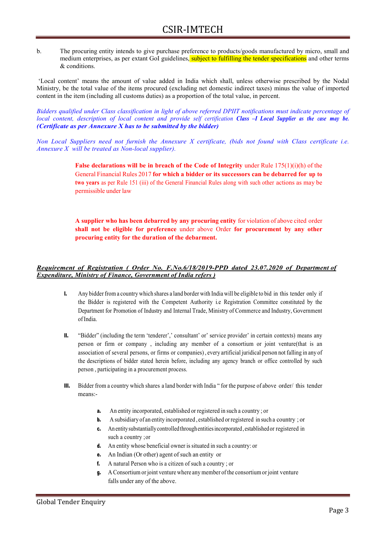b. The procuring entity intends to give purchase preference to products/goods manufactured by micro, small and medium enterprises, as per extant GoI guidelines, subject to fulfilling the tender specifications and other terms & conditions.

 'Local content' means the amount of value added in India which shall, unless otherwise prescribed by the Nodal Ministry, be the total value of the items procured (excluding net domestic indirect taxes) minus the value of imported content in the item (including all customs duties) as a proportion of the total value, in percent.

Bidders qualified under Class classification in light of above referred DPIIT notifications must indicate percentage of local content, description of local content and provide self certification Class -I Local Supplier as the case may be. (Certificate as per Annexure X has to be submitted by the bidder)

Non Local Suppliers need not furnish the Annexure X certificate, (bids not found with Class certificate i.e. Annexure X will be treated as Non-local supplier).

> False declarations will be in breach of the Code of Integrity under Rule  $175(1)(i)(h)$  of the General Financial Rules 2017 for which a bidder or its successors can be debarred for up to two years as per Rule 151 (iii) of the General Financial Rules along with such other actions as may be permissible under law

> A supplier who has been debarred by any procuring entity for violation of above cited order shall not be eligible for preference under above Order for procurement by any other procuring entity for the duration of the debarment.

## Requirement of Registration ( Order No. F.No.6/18/2019-PPD dated 23.07.2020 of Department of Expenditure, Ministry of Finance, Government of India refers )

- I. Any bidder from a country which shares a land border with India will be eligible to bid in this tender only if the Bidder is registered with the Competent Authority i.e Registration Committee constituted by the Department for Promotion of Industry and Internal Trade, Ministry of Commerce and Industry, Government of India.
- II. "Bidder" (including the term 'tenderer',' consultant' or' service provider' in certain contexts) means any person or firm or company , including any member of a consortium or joint venture(that is an association of several persons, or firms or companies) , every artificial juridical person not falling in any of the descriptions of bidder stated herein before, including any agency branch or office controlled by such person , participating in a procurement process.
- III. Bidder from a country which shares a land border with India " for the purpose of above order/ this tender means:
	- a. An entity incorporated, established or registered in such a country ; or
	- b. A subsidiary of an entity incorporated , established or registered in such a country ; or
	- c. An entity substantially controlled through entities incorporated , established or registered in such a country ; or
	- d. An entity whose beneficial owner is situated in such a country: or
	- e. An Indian (Or other) agent of such an entity or
	- f. A natural Person who is a citizen of such a country ; or
	- g. A Consortium or joint venture where any member of the consortium or joint venture falls under any of the above.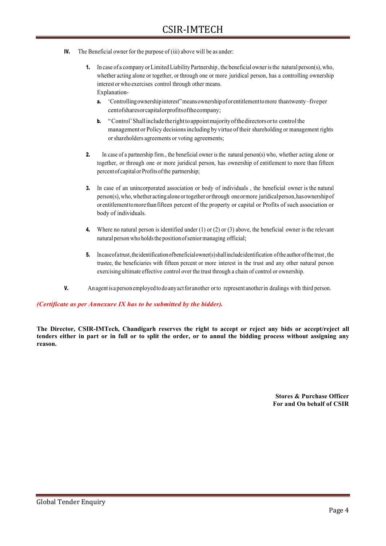- IV. The Beneficial owner for the purpose of (iii) above will be as under:
	- 1. In case of a company or Limited Liability Partnership , the beneficial owner is the natural person(s), who, whether acting alone or together, or through one or more juridical person, has a controlling ownership interest or who exercises control through other means. Explanation
		- a. 'Controlling ownership interest" means ownership of or entitlement to more than twenty –five per cent of shares or capital or profits of the company;
		- **b.** "Control' Shall include the right to appoint majority of the directors or to control the management or Policy decisions including by virtue of their shareholding or management rights or shareholders agreements or voting agreements;
	- 2. In case of a partnership firm., the beneficial owner is the natural person(s) who, whether acting alone or together, or through one or more juridical person, has ownership of entitlement to more than fifteen percent of capital or Profits of the partnership;
	- 3. In case of an unincorporated association or body of individuals , the beneficial owner is the natural person(s), who, whether acting alone or together or through one or more juridical person, has ownership of or entitlement to more than fifteen percent of the property or capital or Profits of such association or body of individuals.
	- 4. Where no natural person is identified under  $(1)$  or  $(2)$  or  $(3)$  above, the beneficial owner is the relevant natural person who holds the position of senior managing official;
	- 5. In case of a trust, the identification of beneficial owner(s) shall include identification of the author of the trust, the trustee, the beneficiaries with fifteen percent or more interest in the trust and any other natural person exercising ultimate effective control over the trust through a chain of control or ownership.
- V. An agent is a person employed to do any act for another or to represent another in dealings with third person.

#### (Certificate as per Annexure IX has to be submitted by the bidder).

The Director, CSIR-IMTech, Chandigarh reserves the right to accept or reject any bids or accept/reject all tenders either in part or in full or to split the order, or to annul the bidding process without assigning any reason.

> Stores & Purchase Officer For and On behalf of CSIR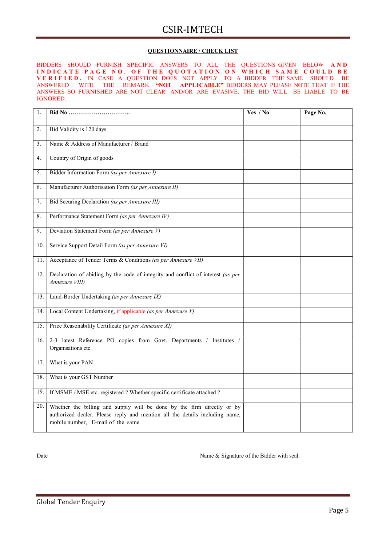#### QUESTIONNAIRE / CHECK LIST

BIDDERS SHOULD FURNISH SPECIFIC ANSWERS TO ALL THE QUESTIONS GIVEN BELOW A N D INDICATE PAGE NO. OF THE QUOTATION ON WHICH SAME COULD BE VERIFIED. IN CASE A QUESTION DOES NOT APPLY TO A BIDDER THE SAME SHOULD BE ANSWERED WITH THE REMARK "NOT APPLICABLE" BIDDERS MAY PLEASE NOTE THAT IF THE ANSWERS SO FURNISHED ARE NOT CLEAR AND/OR ARE EVASIVE, THE BID WILL BE LIABLE TO BE IGNORED.

| 1.       |                                                                                                                                                                                             | Yes / $No$ | Page No. |
|----------|---------------------------------------------------------------------------------------------------------------------------------------------------------------------------------------------|------------|----------|
| 2.       | Bid Validity is 120 days                                                                                                                                                                    |            |          |
| 3.       | Name & Address of Manufacturer / Brand                                                                                                                                                      |            |          |
| 4.       | Country of Origin of goods                                                                                                                                                                  |            |          |
| 5.       | Bidder Information Form (as per Annexure I)                                                                                                                                                 |            |          |
| 6.       | Manufacturer Authorisation Form (as per Annexure II)                                                                                                                                        |            |          |
| 7.       | Bid Securing Declaration (as per Annexure III)<br>Performance Statement Form (as per Annexure IV)                                                                                           |            |          |
| 8.<br>9. | Deviation Statement Form (as per Annexure V)                                                                                                                                                |            |          |
| 10.      | Service Support Detail Form (as per Annexure VI)                                                                                                                                            |            |          |
| 11.      | Acceptance of Tender Terms & Conditions (as per Annexure VII)                                                                                                                               |            |          |
| 12.      | Declaration of abiding by the code of integrity and conflict of interest (as per                                                                                                            |            |          |
|          | Annexure VIII)                                                                                                                                                                              |            |          |
| 13.      | Land-Border Undertaking (as per Annexure IX)                                                                                                                                                |            |          |
| 14.      | Local Content Undertaking, if applicable (as per Annexure $X$ )                                                                                                                             |            |          |
| 15.      | Price Reasonability Certificate (as per Annexure XI)                                                                                                                                        |            |          |
| 16.      | 2-3 latest Reference PO copies from Govt. Departments / Institutes /<br>Organisations etc.                                                                                                  |            |          |
| 17.      | What is your PAN                                                                                                                                                                            |            |          |
| 18.      | What is your GST Number                                                                                                                                                                     |            |          |
| 19.      | If MSME / MSE etc. registered ? Whether specific certificate attached ?                                                                                                                     |            |          |
| 20.      | Whether the billing and supply will be done by the firm directly or by<br>authorized dealer. Please reply and mention all the details including name,<br>mobile number, E-mail of the same. |            |          |

Date Name & Signature of the Bidder with seal.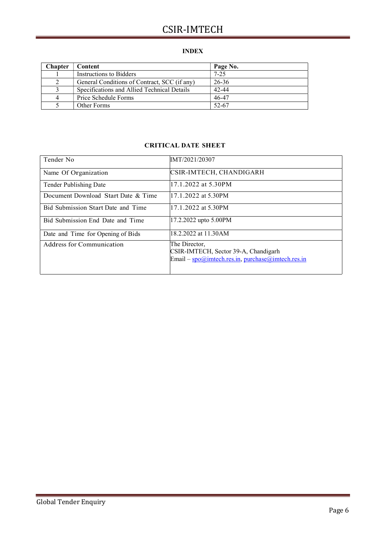# INDEX

| Chapter | Content                                      | Page No.  |
|---------|----------------------------------------------|-----------|
|         | Instructions to Bidders                      | $7 - 25$  |
|         | General Conditions of Contract, SCC (if any) | 26-36     |
|         | Specifications and Allied Technical Details  | $42 - 44$ |
| 4       | Price Schedule Forms                         | 46-47     |
|         | Other Forms                                  | 52-67     |

# CRITICAL DATE SHEET

| Tender No                           | IMT/2021/20307                                                                                                                                     |  |
|-------------------------------------|----------------------------------------------------------------------------------------------------------------------------------------------------|--|
| Name Of Organization                | CSIR-IMTECH, CHANDIGARH                                                                                                                            |  |
| Tender Publishing Date              | 17.1.2022 at 5.30PM                                                                                                                                |  |
| Document Download Start Date & Time | 17.1.2022 at 5.30PM                                                                                                                                |  |
| Bid Submission Start Date and Time  | 17.1.2022 at 5.30PM                                                                                                                                |  |
| Bid Submission End Date and Time    | 17.2.2022 upto 5.00PM                                                                                                                              |  |
| Date and Time for Opening of Bids   | 18.2.2022 at 11.30AM                                                                                                                               |  |
| <b>Address for Communication</b>    | The Director,<br>CSIR-IMTECH, Sector 39-A, Chandigarh<br>Email – $\text{spo}(\hat{\omega})$ imtech.res.in, purchase $(\hat{\omega})$ imtech.res.in |  |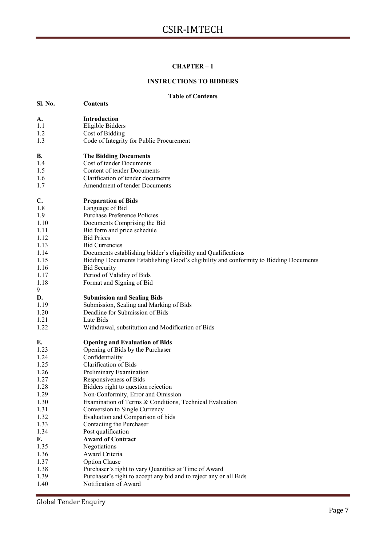### CHAPTER – 1

# INSTRUCTIONS TO BIDDERS

# Table of Contents

| Sl. No.        | <b>Contents</b>                                                                       |
|----------------|---------------------------------------------------------------------------------------|
| A.             | <b>Introduction</b>                                                                   |
| 1.1            | Eligible Bidders                                                                      |
| 1.2            | Cost of Bidding                                                                       |
| 1.3            | Code of Integrity for Public Procurement                                              |
| <b>B.</b>      | <b>The Bidding Documents</b>                                                          |
| 1.4            | Cost of tender Documents                                                              |
| 1.5            | Content of tender Documents                                                           |
| 1.6            | Clarification of tender documents                                                     |
| 1.7            | Amendment of tender Documents                                                         |
| $\mathbf{C}$ . | <b>Preparation of Bids</b>                                                            |
| 1.8            | Language of Bid                                                                       |
| 1.9            | Purchase Preference Policies                                                          |
| 1.10           | Documents Comprising the Bid                                                          |
| 1.11           | Bid form and price schedule                                                           |
| 1.12           | <b>Bid Prices</b>                                                                     |
| 1.13           | <b>Bid Currencies</b>                                                                 |
| 1.14           | Documents establishing bidder's eligibility and Qualifications                        |
| 1.15           | Bidding Documents Establishing Good's eligibility and conformity to Bidding Documents |
| 1.16           | <b>Bid Security</b>                                                                   |
| 1.17           | Period of Validity of Bids                                                            |
| 1.18           | Format and Signing of Bid                                                             |
| 9<br>D.        |                                                                                       |
| 1.19           | <b>Submission and Sealing Bids</b><br>Submission, Sealing and Marking of Bids         |
| 1.20           | Deadline for Submission of Bids                                                       |
| 1.21           | Late Bids                                                                             |
| 1.22           | Withdrawal, substitution and Modification of Bids                                     |
|                |                                                                                       |
| Е.             | <b>Opening and Evaluation of Bids</b>                                                 |
| 1.23           | Opening of Bids by the Purchaser                                                      |
| 1.24           | Confidentiality                                                                       |
| 1.25           | Clarification of Bids                                                                 |
| 1.26           | Preliminary Examination                                                               |
| 1.27           | Responsiveness of Bids                                                                |
| 1.28<br>1.29   | Bidders right to question rejection<br>Non-Conformity, Error and Omission             |
| 1.30           | Examination of Terms & Conditions, Technical Evaluation                               |
| 1.31           | Conversion to Single Currency                                                         |
| 1.32           | Evaluation and Comparison of bids                                                     |
| 1.33           | Contacting the Purchaser                                                              |
| 1.34           | Post qualification                                                                    |
| F.             | <b>Award of Contract</b>                                                              |
| 1.35           | Negotiations                                                                          |
| 1.36           | Award Criteria                                                                        |
| 1.37           | <b>Option Clause</b>                                                                  |
| 1.38           | Purchaser's right to vary Quantities at Time of Award                                 |
| 1.39           | Purchaser's right to accept any bid and to reject any or all Bids                     |
| 1.40           | Notification of Award                                                                 |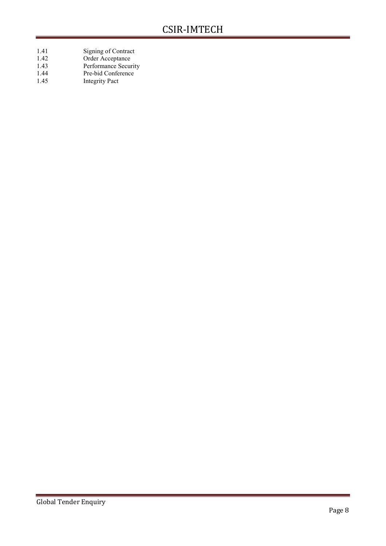- 1.41 Signing of Contract 1.42 Order Acceptance 1.43 Performance Security 1.44 Pre-bid Conference<br>1.45 Integrity Pact
- Integrity Pact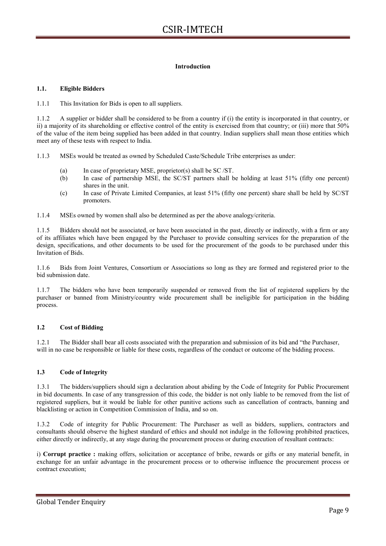## Introduction

#### 1.1. Eligible Bidders

1.1.1 This Invitation for Bids is open to all suppliers.

1.1.2 A supplier or bidder shall be considered to be from a country if (i) the entity is incorporated in that country, or ii) a majority of its shareholding or effective control of the entity is exercised from that country; or (iii) more that 50% of the value of the item being supplied has been added in that country. Indian suppliers shall mean those entities which meet any of these tests with respect to India.

1.1.3 MSEs would be treated as owned by Scheduled Caste/Schedule Tribe enterprises as under:

- (a) In case of proprietary MSE, proprietor(s) shall be  $SC/ST$ .
- (b) In case of partnership MSE, the SC/ST partners shall be holding at least 51% (fifty one percent) shares in the unit.
- (c) In case of Private Limited Companies, at least 51% (fifty one percent) share shall be held by SC/ST promoters.
- 1.1.4 MSEs owned by women shall also be determined as per the above analogy/criteria.

1.1.5 Bidders should not be associated, or have been associated in the past, directly or indirectly, with a firm or any of its affiliates which have been engaged by the Purchaser to provide consulting services for the preparation of the design, specifications, and other documents to be used for the procurement of the goods to be purchased under this Invitation of Bids.

1.1.6 Bids from Joint Ventures, Consortium or Associations so long as they are formed and registered prior to the bid submission date.

1.1.7 The bidders who have been temporarily suspended or removed from the list of registered suppliers by the purchaser or banned from Ministry/country wide procurement shall be ineligible for participation in the bidding process.

#### 1.2 Cost of Bidding

1.2.1 The Bidder shall bear all costs associated with the preparation and submission of its bid and "the Purchaser, will in no case be responsible or liable for these costs, regardless of the conduct or outcome of the bidding process.

### 1.3 Code of Integrity

1.3.1 The bidders/suppliers should sign a declaration about abiding by the Code of Integrity for Public Procurement in bid documents. In case of any transgression of this code, the bidder is not only liable to be removed from the list of registered suppliers, but it would be liable for other punitive actions such as cancellation of contracts, banning and blacklisting or action in Competition Commission of India, and so on.

1.3.2 Code of integrity for Public Procurement: The Purchaser as well as bidders, suppliers, contractors and consultants should observe the highest standard of ethics and should not indulge in the following prohibited practices, either directly or indirectly, at any stage during the procurement process or during execution of resultant contracts:

i) Corrupt practice : making offers, solicitation or acceptance of bribe, rewards or gifts or any material benefit, in exchange for an unfair advantage in the procurement process or to otherwise influence the procurement process or contract execution;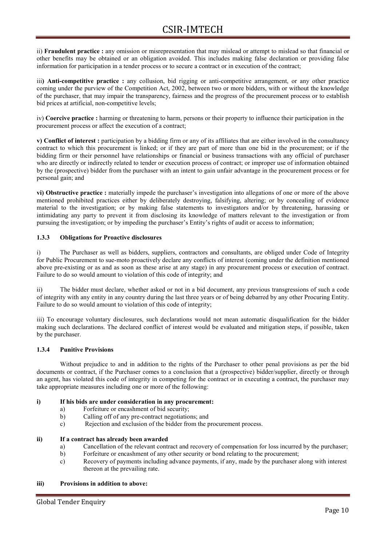ii) Fraudulent practice : any omission or misrepresentation that may mislead or attempt to mislead so that financial or other benefits may be obtained or an obligation avoided. This includes making false declaration or providing false information for participation in a tender process or to secure a contract or in execution of the contract;

iii) Anti-competitive practice : any collusion, bid rigging or anti-competitive arrangement, or any other practice coming under the purview of the Competition Act, 2002, between two or more bidders, with or without the knowledge of the purchaser, that may impair the transparency, fairness and the progress of the procurement process or to establish bid prices at artificial, non-competitive levels;

iv) Coercive practice : harming or threatening to harm, persons or their property to influence their participation in the procurement process or affect the execution of a contract;

v) Conflict of interest : participation by a bidding firm or any of its affiliates that are either involved in the consultancy contract to which this procurement is linked; or if they are part of more than one bid in the procurement; or if the bidding firm or their personnel have relationships or financial or business transactions with any official of purchaser who are directly or indirectly related to tender or execution process of contract; or improper use of information obtained by the (prospective) bidder from the purchaser with an intent to gain unfair advantage in the procurement process or for personal gain; and

vi) Obstructive practice : materially impede the purchaser's investigation into allegations of one or more of the above mentioned prohibited practices either by deliberately destroying, falsifying, altering; or by concealing of evidence material to the investigation; or by making false statements to investigators and/or by threatening, harassing or intimidating any party to prevent it from disclosing its knowledge of matters relevant to the investigation or from pursuing the investigation; or by impeding the purchaser's Entity's rights of audit or access to information;

#### 1.3.3 Obligations for Proactive disclosures

i) The Purchaser as well as bidders, suppliers, contractors and consultants, are obliged under Code of Integrity for Public Procurement to sue-moto proactively declare any conflicts of interest (coming under the definition mentioned above pre-existing or as and as soon as these arise at any stage) in any procurement process or execution of contract. Failure to do so would amount to violation of this code of integrity; and

ii) The bidder must declare, whether asked or not in a bid document, any previous transgressions of such a code of integrity with any entity in any country during the last three years or of being debarred by any other Procuring Entity. Failure to do so would amount to violation of this code of integrity;

iii) To encourage voluntary disclosures, such declarations would not mean automatic disqualification for the bidder making such declarations. The declared conflict of interest would be evaluated and mitigation steps, if possible, taken by the purchaser.

#### 1.3.4 Punitive Provisions

Without prejudice to and in addition to the rights of the Purchaser to other penal provisions as per the bid documents or contract, if the Purchaser comes to a conclusion that a (prospective) bidder/supplier, directly or through an agent, has violated this code of integrity in competing for the contract or in executing a contract, the purchaser may take appropriate measures including one or more of the following:

#### i) If his bids are under consideration in any procurement:

- a) Forfeiture or encashment of bid security;
- b) Calling off of any pre-contract negotiations; and
- c) Rejection and exclusion of the bidder from the procurement process.

#### ii) If a contract has already been awarded

- a) Cancellation of the relevant contract and recovery of compensation for loss incurred by the purchaser;
- b) Forfeiture or encashment of any other security or bond relating to the procurement;
- c) Recovery of payments including advance payments, if any, made by the purchaser along with interest thereon at the prevailing rate.

#### iii) Provisions in addition to above: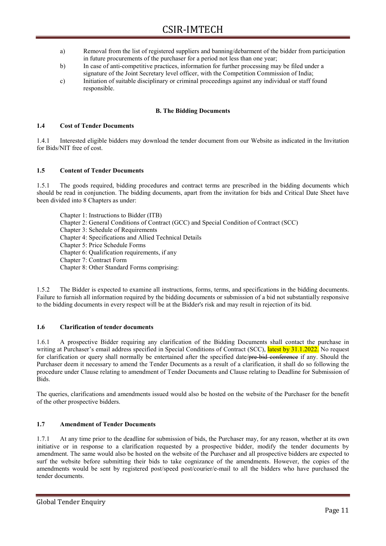- a) Removal from the list of registered suppliers and banning/debarment of the bidder from participation in future procurements of the purchaser for a period not less than one year;
- b) In case of anti-competitive practices, information for further processing may be filed under a
- signature of the Joint Secretary level officer, with the Competition Commission of India; c) Initiation of suitable disciplinary or criminal proceedings against any individual or staff found responsible.

### B. The Bidding Documents

#### 1.4 Cost of Tender Documents

1.4.1 Interested eligible bidders may download the tender document from our Website as indicated in the Invitation for Bids/NIT free of cost.

#### 1.5 Content of Tender Documents

1.5.1 The goods required, bidding procedures and contract terms are prescribed in the bidding documents which should be read in conjunction. The bidding documents, apart from the invitation for bids and Critical Date Sheet have been divided into 8 Chapters as under:

Chapter 1: Instructions to Bidder (ITB) Chapter 2: General Conditions of Contract (GCC) and Special Condition of Contract (SCC) Chapter 3: Schedule of Requirements Chapter 4: Specifications and Allied Technical Details Chapter 5: Price Schedule Forms Chapter 6: Qualification requirements, if any Chapter 7: Contract Form Chapter 8: Other Standard Forms comprising:

1.5.2 The Bidder is expected to examine all instructions, forms, terms, and specifications in the bidding documents. Failure to furnish all information required by the bidding documents or submission of a bid not substantially responsive to the bidding documents in every respect will be at the Bidder's risk and may result in rejection of its bid.

#### 1.6 Clarification of tender documents

1.6.1 A prospective Bidder requiring any clarification of the Bidding Documents shall contact the purchase in writing at Purchaser's email address specified in Special Conditions of Contract (SCC), latest by 31.1.2022. No request for clarification or query shall normally be entertained after the specified date/pre-bid conference if any. Should the Purchaser deem it necessary to amend the Tender Documents as a result of a clarification, it shall do so following the procedure under Clause relating to amendment of Tender Documents and Clause relating to Deadline for Submission of Bids.

The queries, clarifications and amendments issued would also be hosted on the website of the Purchaser for the benefit of the other prospective bidders.

#### 1.7 Amendment of Tender Documents

1.7.1 At any time prior to the deadline for submission of bids, the Purchaser may, for any reason, whether at its own initiative or in response to a clarification requested by a prospective bidder, modify the tender documents by amendment. The same would also be hosted on the website of the Purchaser and all prospective bidders are expected to surf the website before submitting their bids to take cognizance of the amendments. However, the copies of the amendments would be sent by registered post/speed post/courier/e-mail to all the bidders who have purchased the tender documents.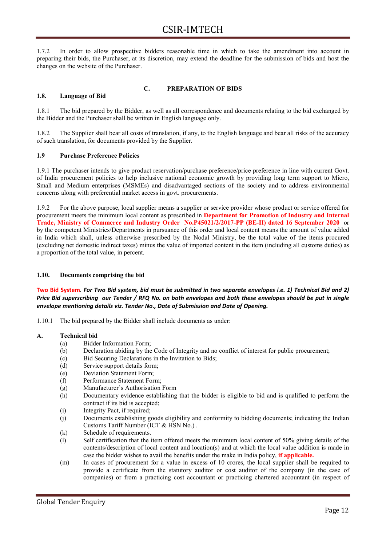1.7.2 In order to allow prospective bidders reasonable time in which to take the amendment into account in preparing their bids, the Purchaser, at its discretion, may extend the deadline for the submission of bids and host the changes on the website of the Purchaser.

#### C. PREPARATION OF BIDS

# 1.8. Language of Bid

1.8.1 The bid prepared by the Bidder, as well as all correspondence and documents relating to the bid exchanged by the Bidder and the Purchaser shall be written in English language only.

1.8.2 The Supplier shall bear all costs of translation, if any, to the English language and bear all risks of the accuracy of such translation, for documents provided by the Supplier.

#### 1.9 Purchase Preference Policies

1.9.1 The purchaser intends to give product reservation/purchase preference/price preference in line with current Govt. of India procurement policies to help inclusive national economic growth by providing long term support to Micro, Small and Medium enterprises (MSMEs) and disadvantaged sections of the society and to address environmental concerns along with preferential market access in govt. procurements.

1.9.2 For the above purpose, local supplier means a supplier or service provider whose product or service offered for procurement meets the minimum local content as prescribed in Department for Promotion of Industry and Internal Trade, Ministry of Commerce and Industry Order No.P45021/2/2017-PP (BE-II) dated 16 September 2020 or by the competent Ministries/Departments in pursuance of this order and local content means the amount of value added in India which shall, unless otherwise prescribed by the Nodal Ministry, be the total value of the items procured (excluding net domestic indirect taxes) minus the value of imported content in the item (including all customs duties) as a proportion of the total value, in percent.

#### 1.10. Documents comprising the bid

#### Two Bid System. For Two Bid system, bid must be submitted in two separate envelopes i.e. 1) Technical Bid and 2) Price Bid superscribing our Tender / RFQ No. on both envelopes and both these envelopes should be put in single envelope mentioning details viz. Tender No., Date of Submission and Date of Opening.

1.10.1 The bid prepared by the Bidder shall include documents as under:

#### A. Technical bid

- (a) Bidder Information Form;
- (b) Declaration abiding by the Code of Integrity and no conflict of interest for public procurement;
- (c) Bid Securing Declarations in the Invitation to Bids;
- (d) Service support details form;
- (e) Deviation Statement Form;
- (f) Performance Statement Form;
- (g) Manufacturer's Authorisation Form
- (h) Documentary evidence establishing that the bidder is eligible to bid and is qualified to perform the contract if its bid is accepted;
- (i) Integrity Pact, if required;
- (j) Documents establishing goods eligibility and conformity to bidding documents; indicating the Indian Customs Tariff Number (ICT & HSN No.) .
- (k) Schedule of requirements.
- (l) Self certification that the item offered meets the minimum local content of 50% giving details of the contents/description of local content and location(s) and at which the local value addition is made in case the bidder wishes to avail the benefits under the make in India policy, if applicable.
- (m) In cases of procurement for a value in excess of 10 crores, the local supplier shall be required to provide a certificate from the statutory auditor or cost auditor of the company (in the case of companies) or from a practicing cost accountant or practicing chartered accountant (in respect of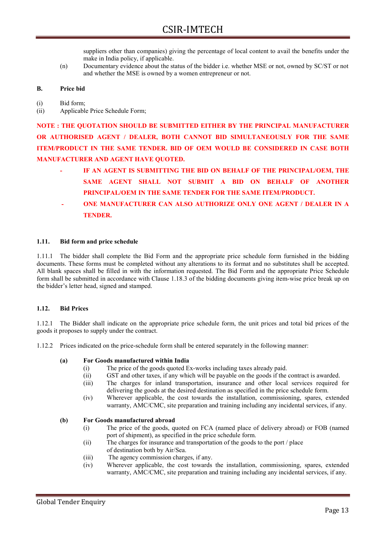suppliers other than companies) giving the percentage of local content to avail the benefits under the make in India policy, if applicable.

(n) Documentary evidence about the status of the bidder i.e. whether MSE or not, owned by SC/ST or not and whether the MSE is owned by a women entrepreneur or not.

#### B. Price bid

- (i) Bid form;
- (ii) Applicable Price Schedule Form;

NOTE : THE QUOTATION SHOULD BE SUBMITTED EITHER BY THE PRINCIPAL MANUFACTURER OR AUTHORISED AGENT / DEALER, BOTH CANNOT BID SIMULTANEOUSLY FOR THE SAME ITEM/PRODUCT IN THE SAME TENDER. BID OF OEM WOULD BE CONSIDERED IN CASE BOTH MANUFACTURER AND AGENT HAVE QUOTED.

- IF AN AGENT IS SUBMITTING THE BID ON BEHALF OF THE PRINCIPAL/OEM, THE SAME AGENT SHALL NOT SUBMIT A BID ON BEHALF OF ANOTHER PRINCIPAL/OEM IN THE SAME TENDER FOR THE SAME ITEM/PRODUCT.
- ONE MANUFACTURER CAN ALSO AUTHORIZE ONLY ONE AGENT / DEALER IN A TENDER.

#### 1.11. Bid form and price schedule

1.11.1 The bidder shall complete the Bid Form and the appropriate price schedule form furnished in the bidding documents. These forms must be completed without any alterations to its format and no substitutes shall be accepted. All blank spaces shall be filled in with the information requested. The Bid Form and the appropriate Price Schedule form shall be submitted in accordance with Clause 1.18.3 of the bidding documents giving item-wise price break up on the bidder's letter head, signed and stamped.

#### 1.12. Bid Prices

1.12.1 The Bidder shall indicate on the appropriate price schedule form, the unit prices and total bid prices of the goods it proposes to supply under the contract.

1.12.2 Prices indicated on the price-schedule form shall be entered separately in the following manner:

#### (a) For Goods manufactured within India

- (i) The price of the goods quoted Ex-works including taxes already paid.
- (ii) GST and other taxes, if any which will be payable on the goods if the contract is awarded.
- (iii) The charges for inland transportation, insurance and other local services required for delivering the goods at the desired destination as specified in the price schedule form.
- (iv) Wherever applicable, the cost towards the installation, commissioning, spares, extended warranty, AMC/CMC, site preparation and training including any incidental services, if any.

#### (b) For Goods manufactured abroad

- (i) The price of the goods, quoted on FCA (named place of delivery abroad) or FOB (named port of shipment), as specified in the price schedule form.
- (ii) The charges for insurance and transportation of the goods to the port / place of destination both by Air/Sea.
- (iii) The agency commission charges, if any.
- (iv) Wherever applicable, the cost towards the installation, commissioning, spares, extended warranty, AMC/CMC, site preparation and training including any incidental services, if any.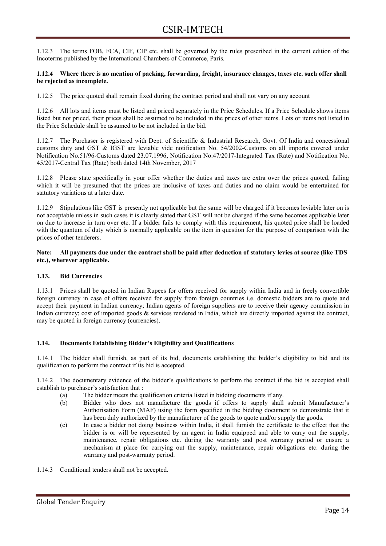1.12.3 The terms FOB, FCA, CIF, CIP etc. shall be governed by the rules prescribed in the current edition of the Incoterms published by the International Chambers of Commerce, Paris.

#### 1.12.4 Where there is no mention of packing, forwarding, freight, insurance changes, taxes etc. such offer shall be rejected as incomplete.

1.12.5 The price quoted shall remain fixed during the contract period and shall not vary on any account

1.12.6 All lots and items must be listed and priced separately in the Price Schedules. If a Price Schedule shows items listed but not priced, their prices shall be assumed to be included in the prices of other items. Lots or items not listed in the Price Schedule shall be assumed to be not included in the bid.

1.12.7 The Purchaser is registered with Dept. of Scientific & Industrial Research, Govt. Of India and concessional customs duty and GST & IGST are leviable vide notification No. 54/2002-Customs on all imports covered under Notification No.51/96-Customs dated 23.07.1996, Notification No.47/2017-Integrated Tax (Rate) and Notification No. 45/2017-Central Tax (Rate) both dated 14th November, 2017

1.12.8 Please state specifically in your offer whether the duties and taxes are extra over the prices quoted, failing which it will be presumed that the prices are inclusive of taxes and duties and no claim would be entertained for statutory variations at a later date.

1.12.9 Stipulations like GST is presently not applicable but the same will be charged if it becomes leviable later on is not acceptable unless in such cases it is clearly stated that GST will not be charged if the same becomes applicable later on due to increase in turn over etc. If a bidder fails to comply with this requirement, his quoted price shall be loaded with the quantum of duty which is normally applicable on the item in question for the purpose of comparison with the prices of other tenderers.

Note: All payments due under the contract shall be paid after deduction of statutory levies at source (like TDS etc.), wherever applicable.

#### 1.13. Bid Currencies

1.13.1 Prices shall be quoted in Indian Rupees for offers received for supply within India and in freely convertible foreign currency in case of offers received for supply from foreign countries i.e. domestic bidders are to quote and accept their payment in Indian currency; Indian agents of foreign suppliers are to receive their agency commission in Indian currency; cost of imported goods & services rendered in India, which are directly imported against the contract, may be quoted in foreign currency (currencies).

#### 1.14. Documents Establishing Bidder's Eligibility and Qualifications

1.14.1 The bidder shall furnish, as part of its bid, documents establishing the bidder's eligibility to bid and its qualification to perform the contract if its bid is accepted.

1.14.2 The documentary evidence of the bidder's qualifications to perform the contract if the bid is accepted shall establish to purchaser's satisfaction that :

- (a) The bidder meets the qualification criteria listed in bidding documents if any.
- (b) Bidder who does not manufacture the goods if offers to supply shall submit Manufacturer's Authorisation Form (MAF) using the form specified in the bidding document to demonstrate that it has been duly authorized by the manufacturer of the goods to quote and/or supply the goods.
- (c) In case a bidder not doing business within India, it shall furnish the certificate to the effect that the bidder is or will be represented by an agent in India equipped and able to carry out the supply, maintenance, repair obligations etc. during the warranty and post warranty period or ensure a mechanism at place for carrying out the supply, maintenance, repair obligations etc. during the warranty and post-warranty period.
- 1.14.3 Conditional tenders shall not be accepted.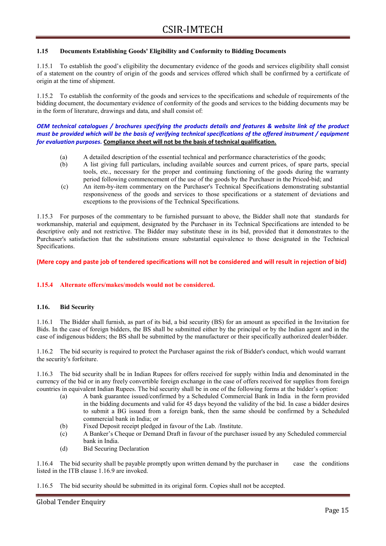#### 1.15 Documents Establishing Goods' Eligibility and Conformity to Bidding Documents

1.15.1 To establish the good's eligibility the documentary evidence of the goods and services eligibility shall consist of a statement on the country of origin of the goods and services offered which shall be confirmed by a certificate of origin at the time of shipment.

1.15.2 To establish the conformity of the goods and services to the specifications and schedule of requirements of the bidding document, the documentary evidence of conformity of the goods and services to the bidding documents may be in the form of literature, drawings and data, and shall consist of:

OEM technical catalogues / brochures specifying the products details and features & website link of the product must be provided which will be the basis of verifying technical specifications of the offered instrument / equipment for evaluation purposes. Compliance sheet will not be the basis of technical qualification.

- (a) A detailed description of the essential technical and performance characteristics of the goods;
- (b) A list giving full particulars, including available sources and current prices, of spare parts, special tools, etc., necessary for the proper and continuing functioning of the goods during the warranty period following commencement of the use of the goods by the Purchaser in the Priced-bid; and
- (c) An item-by-item commentary on the Purchaser's Technical Specifications demonstrating substantial responsiveness of the goods and services to those specifications or a statement of deviations and exceptions to the provisions of the Technical Specifications.

1.15.3 For purposes of the commentary to be furnished pursuant to above, the Bidder shall note that standards for workmanship, material and equipment, designated by the Purchaser in its Technical Specifications are intended to be descriptive only and not restrictive. The Bidder may substitute these in its bid, provided that it demonstrates to the Purchaser's satisfaction that the substitutions ensure substantial equivalence to those designated in the Technical Specifications.

#### (Mere copy and paste job of tendered specifications will not be considered and will result in rejection of bid)

#### 1.15.4 Alternate offers/makes/models would not be considered.

#### 1.16. Bid Security

1.16.1 The Bidder shall furnish, as part of its bid, a bid security (BS) for an amount as specified in the Invitation for Bids. In the case of foreign bidders, the BS shall be submitted either by the principal or by the Indian agent and in the case of indigenous bidders; the BS shall be submitted by the manufacturer or their specifically authorized dealer/bidder.

1.16.2 The bid security is required to protect the Purchaser against the risk of Bidder's conduct, which would warrant the security's forfeiture.

1.16.3 The bid security shall be in Indian Rupees for offers received for supply within India and denominated in the currency of the bid or in any freely convertible foreign exchange in the case of offers received for supplies from foreign countries in equivalent Indian Rupees. The bid security shall be in one of the following forms at the bidder's option:

- (a) A bank guarantee issued/confirmed by a Scheduled Commercial Bank in India in the form provided in the bidding documents and valid for 45 days beyond the validity of the bid. In case a bidder desires to submit a BG issued from a foreign bank, then the same should be confirmed by a Scheduled commercial bank in India; or
- (b) Fixed Deposit receipt pledged in favour of the Lab. /Institute.
- (c) A Banker's Cheque or Demand Draft in favour of the purchaser issued by any Scheduled commercial bank in India.
- (d) Bid Securing Declaration

1.16.4 The bid security shall be payable promptly upon written demand by the purchaser in case the conditions listed in the ITB clause 1.16.9 are invoked.

1.16.5 The bid security should be submitted in its original form. Copies shall not be accepted.

Global Tender Enquiry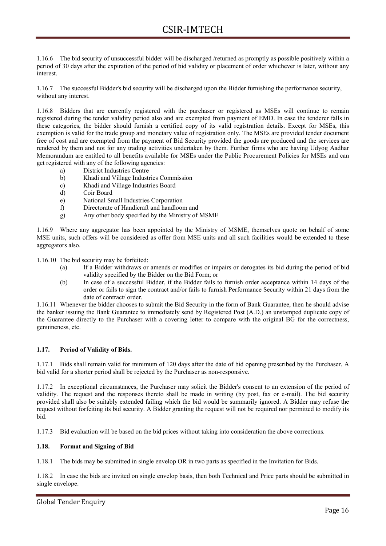1.16.6 The bid security of unsuccessful bidder will be discharged /returned as promptly as possible positively within a period of 30 days after the expiration of the period of bid validity or placement of order whichever is later, without any interest.

1.16.7 The successful Bidder's bid security will be discharged upon the Bidder furnishing the performance security, without any interest.

1.16.8 Bidders that are currently registered with the purchaser or registered as MSEs will continue to remain registered during the tender validity period also and are exempted from payment of EMD. In case the tenderer falls in these categories, the bidder should furnish a certified copy of its valid registration details. Except for MSEs, this exemption is valid for the trade group and monetary value of registration only. The MSEs are provided tender document free of cost and are exempted from the payment of Bid Security provided the goods are produced and the services are rendered by them and not for any trading activities undertaken by them. Further firms who are having Udyog Aadhar Memorandum are entitled to all benefits available for MSEs under the Public Procurement Policies for MSEs and can get registered with any of the following agencies:

- a) District Industries Centre
- b) Khadi and Village Industries Commission
- c) Khadi and Village Industries Board
- d) Coir Board
- e) National Small Industries Corporation
- f) Directorate of Handicraft and handloom and
- g) Any other body specified by the Ministry of MSME

1.16.9 Where any aggregator has been appointed by the Ministry of MSME, themselves quote on behalf of some MSE units, such offers will be considered as offer from MSE units and all such facilities would be extended to these aggregators also.

1.16.10 The bid security may be forfeited:

- (a) If a Bidder withdraws or amends or modifies or impairs or derogates its bid during the period of bid validity specified by the Bidder on the Bid Form; or
- (b) In case of a successful Bidder, if the Bidder fails to furnish order acceptance within 14 days of the order or fails to sign the contract and/or fails to furnish Performance Security within 21 days from the date of contract/ order.

1.16.11 Whenever the bidder chooses to submit the Bid Security in the form of Bank Guarantee, then he should advise the banker issuing the Bank Guarantee to immediately send by Registered Post (A.D.) an unstamped duplicate copy of the Guarantee directly to the Purchaser with a covering letter to compare with the original BG for the correctness, genuineness, etc.

#### 1.17. Period of Validity of Bids.

1.17.1 Bids shall remain valid for minimum of 120 days after the date of bid opening prescribed by the Purchaser. A bid valid for a shorter period shall be rejected by the Purchaser as non-responsive.

1.17.2 In exceptional circumstances, the Purchaser may solicit the Bidder's consent to an extension of the period of validity. The request and the responses thereto shall be made in writing (by post, fax or e-mail). The bid security provided shall also be suitably extended failing which the bid would be summarily ignored. A Bidder may refuse the request without forfeiting its bid security. A Bidder granting the request will not be required nor permitted to modify its bid.

1.17.3 Bid evaluation will be based on the bid prices without taking into consideration the above corrections.

#### 1.18. Format and Signing of Bid

1.18.1 The bids may be submitted in single envelop OR in two parts as specified in the Invitation for Bids.

1.18.2 In case the bids are invited on single envelop basis, then both Technical and Price parts should be submitted in single envelope.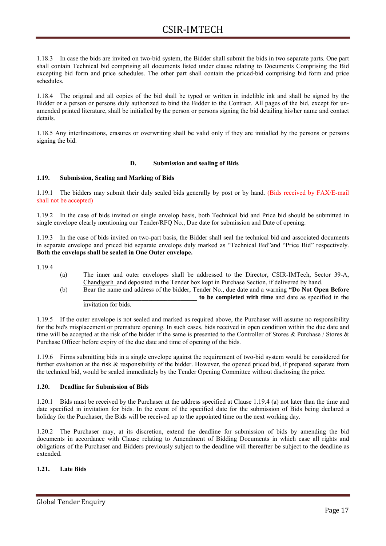1.18.3 In case the bids are invited on two-bid system, the Bidder shall submit the bids in two separate parts. One part shall contain Technical bid comprising all documents listed under clause relating to Documents Comprising the Bid excepting bid form and price schedules. The other part shall contain the priced-bid comprising bid form and price schedules.

1.18.4 The original and all copies of the bid shall be typed or written in indelible ink and shall be signed by the Bidder or a person or persons duly authorized to bind the Bidder to the Contract. All pages of the bid, except for unamended printed literature, shall be initialled by the person or persons signing the bid detailing his/her name and contact details.

1.18.5 Any interlineations, erasures or overwriting shall be valid only if they are initialled by the persons or persons signing the bid.

#### D. Submission and sealing of Bids

#### 1.19. Submission, Sealing and Marking of Bids

1.19.1 The bidders may submit their duly sealed bids generally by post or by hand. (Bids received by FAX/E-mail shall not be accepted)

1.19.2 In the case of bids invited on single envelop basis, both Technical bid and Price bid should be submitted in single envelope clearly mentioning our Tender/RFQ No., Due date for submission and Date of opening.

1.19.3 In the case of bids invited on two-part basis, the Bidder shall seal the technical bid and associated documents in separate envelope and priced bid separate envelops duly marked as "Technical Bid"and "Price Bid" respectively. Both the envelops shall be sealed in One Outer envelope.

1.19.4

- (a) The inner and outer envelopes shall be addressed to the Director, CSIR-IMTech, Sector 39-A, Chandigarh and deposited in the Tender box kept in Purchase Section, if delivered by hand.
- (b) Bear the name and address of the bidder, Tender No., due date and a warning "Do Not Open Before \_\_\_\_\_\_\_\_\_\_\_\_\_\_\_\_\_\_\_\_\_\_\_\_\_\_\_\_\_\_\_\_\_\_\_ to be completed with time and date as specified in the invitation for bids.

1.19.5 If the outer envelope is not sealed and marked as required above, the Purchaser will assume no responsibility for the bid's misplacement or premature opening. In such cases, bids received in open condition within the due date and time will be accepted at the risk of the bidder if the same is presented to the Controller of Stores & Purchase / Stores & Purchase Officer before expiry of the due date and time of opening of the bids.

1.19.6 Firms submitting bids in a single envelope against the requirement of two-bid system would be considered for further evaluation at the risk & responsibility of the bidder. However, the opened priced bid, if prepared separate from the technical bid, would be sealed immediately by the Tender Opening Committee without disclosing the price.

#### 1.20. Deadline for Submission of Bids

1.20.1 Bids must be received by the Purchaser at the address specified at Clause 1.19.4 (a) not later than the time and date specified in invitation for bids. In the event of the specified date for the submission of Bids being declared a holiday for the Purchaser, the Bids will be received up to the appointed time on the next working day.

1.20.2 The Purchaser may, at its discretion, extend the deadline for submission of bids by amending the bid documents in accordance with Clause relating to Amendment of Bidding Documents in which case all rights and obligations of the Purchaser and Bidders previously subject to the deadline will thereafter be subject to the deadline as extended.

#### 1.21. Late Bids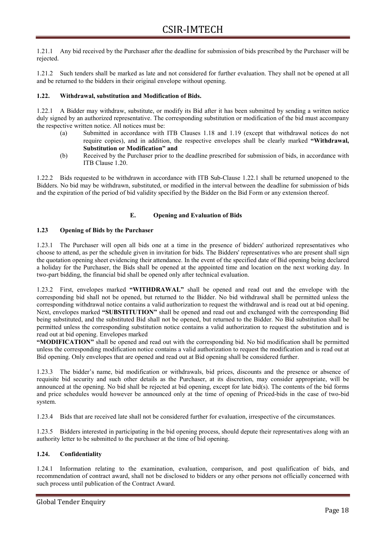1.21.1 Any bid received by the Purchaser after the deadline for submission of bids prescribed by the Purchaser will be rejected.

1.21.2 Such tenders shall be marked as late and not considered for further evaluation. They shall not be opened at all and be returned to the bidders in their original envelope without opening.

#### 1.22. Withdrawal, substitution and Modification of Bids.

1.22.1 A Bidder may withdraw, substitute, or modify its Bid after it has been submitted by sending a written notice duly signed by an authorized representative. The corresponding substitution or modification of the bid must accompany the respective written notice. All notices must be:

- (a) Submitted in accordance with ITB Clauses 1.18 and 1.19 (except that withdrawal notices do not require copies), and in addition, the respective envelopes shall be clearly marked "Withdrawal, Substitution or Modification" and
- (b) Received by the Purchaser prior to the deadline prescribed for submission of bids, in accordance with ITB Clause 1.20.

1.22.2 Bids requested to be withdrawn in accordance with ITB Sub-Clause 1.22.1 shall be returned unopened to the Bidders. No bid may be withdrawn, substituted, or modified in the interval between the deadline for submission of bids and the expiration of the period of bid validity specified by the Bidder on the Bid Form or any extension thereof.

#### E. Opening and Evaluation of Bids

#### 1.23 Opening of Bids by the Purchaser

1.23.1 The Purchaser will open all bids one at a time in the presence of bidders' authorized representatives who choose to attend, as per the schedule given in invitation for bids. The Bidders' representatives who are present shall sign the quotation opening sheet evidencing their attendance. In the event of the specified date of Bid opening being declared a holiday for the Purchaser, the Bids shall be opened at the appointed time and location on the next working day. In two-part bidding, the financial bid shall be opened only after technical evaluation.

1.23.2 First, envelopes marked "WITHDRAWAL" shall be opened and read out and the envelope with the corresponding bid shall not be opened, but returned to the Bidder. No bid withdrawal shall be permitted unless the corresponding withdrawal notice contains a valid authorization to request the withdrawal and is read out at bid opening. Next, envelopes marked "SUBSTITUTION" shall be opened and read out and exchanged with the corresponding Bid being substituted, and the substituted Bid shall not be opened, but returned to the Bidder. No Bid substitution shall be permitted unless the corresponding substitution notice contains a valid authorization to request the substitution and is read out at bid opening. Envelopes marked

"MODIFICATION" shall be opened and read out with the corresponding bid. No bid modification shall be permitted unless the corresponding modification notice contains a valid authorization to request the modification and is read out at Bid opening. Only envelopes that are opened and read out at Bid opening shall be considered further.

1.23.3 The bidder's name, bid modification or withdrawals, bid prices, discounts and the presence or absence of requisite bid security and such other details as the Purchaser, at its discretion, may consider appropriate, will be announced at the opening. No bid shall be rejected at bid opening, except for late bid(s). The contents of the bid forms and price schedules would however be announced only at the time of opening of Priced-bids in the case of two-bid system.

1.23.4 Bids that are received late shall not be considered further for evaluation, irrespective of the circumstances.

1.23.5 Bidders interested in participating in the bid opening process, should depute their representatives along with an authority letter to be submitted to the purchaser at the time of bid opening.

#### 1.24. Confidentiality

1.24.1 Information relating to the examination, evaluation, comparison, and post qualification of bids, and recommendation of contract award, shall not be disclosed to bidders or any other persons not officially concerned with such process until publication of the Contract Award.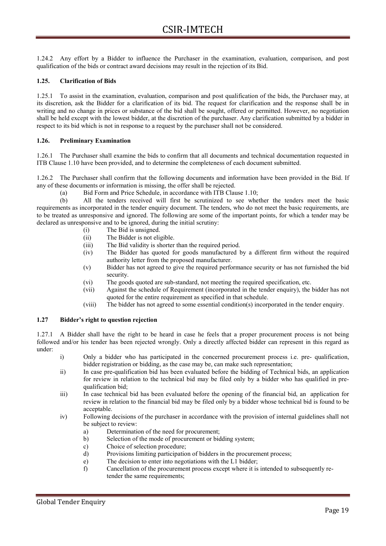1.24.2 Any effort by a Bidder to influence the Purchaser in the examination, evaluation, comparison, and post qualification of the bids or contract award decisions may result in the rejection of its Bid.

#### 1.25. Clarification of Bids

1.25.1 To assist in the examination, evaluation, comparison and post qualification of the bids, the Purchaser may, at its discretion, ask the Bidder for a clarification of its bid. The request for clarification and the response shall be in writing and no change in prices or substance of the bid shall be sought, offered or permitted. However, no negotiation shall be held except with the lowest bidder, at the discretion of the purchaser. Any clarification submitted by a bidder in respect to its bid which is not in response to a request by the purchaser shall not be considered.

#### 1.26. Preliminary Examination

1.26.1 The Purchaser shall examine the bids to confirm that all documents and technical documentation requested in ITB Clause 1.10 have been provided, and to determine the completeness of each document submitted.

1.26.2 The Purchaser shall confirm that the following documents and information have been provided in the Bid. If any of these documents or information is missing, the offer shall be rejected.

(a) Bid Form and Price Schedule, in accordance with ITB Clause 1.10;

(b) All the tenders received will first be scrutinized to see whether the tenders meet the basic requirements as incorporated in the tender enquiry document. The tenders, who do not meet the basic requirements, are to be treated as unresponsive and ignored. The following are some of the important points, for which a tender may be declared as unresponsive and to be ignored, during the initial scrutiny:

- (i) The Bid is unsigned.
- (ii) The Bidder is not eligible.
- (iii) The Bid validity is shorter than the required period.
- (iv) The Bidder has quoted for goods manufactured by a different firm without the required authority letter from the proposed manufacturer.
- (v) Bidder has not agreed to give the required performance security or has not furnished the bid security.
- (vi) The goods quoted are sub-standard, not meeting the required specification, etc.
- (vii) Against the schedule of Requirement (incorporated in the tender enquiry), the bidder has not quoted for the entire requirement as specified in that schedule.
- (viii) The bidder has not agreed to some essential condition(s) incorporated in the tender enquiry.

#### 1.27 Bidder's right to question rejection

1.27.1 A Bidder shall have the right to be heard in case he feels that a proper procurement process is not being followed and/or his tender has been rejected wrongly. Only a directly affected bidder can represent in this regard as under:

- i) Only a bidder who has participated in the concerned procurement process i.e. pre- qualification, bidder registration or bidding, as the case may be, can make such representation;
- ii) In case pre-qualification bid has been evaluated before the bidding of Technical bids, an application for review in relation to the technical bid may be filed only by a bidder who has qualified in prequalification bid;
- iii) In case technical bid has been evaluated before the opening of the financial bid, an application for review in relation to the financial bid may be filed only by a bidder whose technical bid is found to be acceptable.
- iv) Following decisions of the purchaser in accordance with the provision of internal guidelines shall not be subject to review:
	- a) Determination of the need for procurement;
	- b) Selection of the mode of procurement or bidding system;
	- c) Choice of selection procedure;
	- d) Provisions limiting participation of bidders in the procurement process;
	- e) The decision to enter into negotiations with the L1 bidder;
	- f) Cancellation of the procurement process except where it is intended to subsequently retender the same requirements;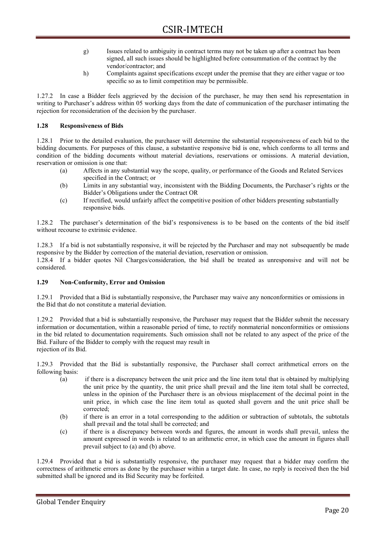- g) Issues related to ambiguity in contract terms may not be taken up after a contract has been signed, all such issues should be highlighted before consummation of the contract by the vendor/contractor; and
- h) Complaints against specifications except under the premise that they are either vague or too specific so as to limit competition may be permissible.

1.27.2 In case a Bidder feels aggrieved by the decision of the purchaser, he may then send his representation in writing to Purchaser's address within 05 working days from the date of communication of the purchaser intimating the rejection for reconsideration of the decision by the purchaser.

#### 1.28 Responsiveness of Bids

1.28.1 Prior to the detailed evaluation, the purchaser will determine the substantial responsiveness of each bid to the bidding documents. For purposes of this clause, a substantive responsive bid is one, which conforms to all terms and condition of the bidding documents without material deviations, reservations or omissions. A material deviation, reservation or omission is one that:

- (a) Affects in any substantial way the scope, quality, or performance of the Goods and Related Services specified in the Contract; or
- (b) Limits in any substantial way, inconsistent with the Bidding Documents, the Purchaser's rights or the Bidder's Obligations under the Contract OR
- (c) If rectified, would unfairly affect the competitive position of other bidders presenting substantially responsive bids.

1.28.2 The purchaser's determination of the bid's responsiveness is to be based on the contents of the bid itself without recourse to extrinsic evidence.

1.28.3 If a bid is not substantially responsive, it will be rejected by the Purchaser and may not subsequently be made responsive by the Bidder by correction of the material deviation, reservation or omission.

1.28.4 If a bidder quotes Nil Charges/consideration, the bid shall be treated as unresponsive and will not be considered.

#### 1.29 Non-Conformity, Error and Omission

1.29.1 Provided that a Bid is substantially responsive, the Purchaser may waive any nonconformities or omissions in the Bid that do not constitute a material deviation.

1.29.2 Provided that a bid is substantially responsive, the Purchaser may request that the Bidder submit the necessary information or documentation, within a reasonable period of time, to rectify nonmaterial nonconformities or omissions in the bid related to documentation requirements. Such omission shall not be related to any aspect of the price of the Bid. Failure of the Bidder to comply with the request may result in rejection of its Bid.

1.29.3 Provided that the Bid is substantially responsive, the Purchaser shall correct arithmetical errors on the following basis:

- (a) if there is a discrepancy between the unit price and the line item total that is obtained by multiplying the unit price by the quantity, the unit price shall prevail and the line item total shall be corrected, unless in the opinion of the Purchaser there is an obvious misplacement of the decimal point in the unit price, in which case the line item total as quoted shall govern and the unit price shall be corrected;
- (b) if there is an error in a total corresponding to the addition or subtraction of subtotals, the subtotals shall prevail and the total shall be corrected; and
- (c) if there is a discrepancy between words and figures, the amount in words shall prevail, unless the amount expressed in words is related to an arithmetic error, in which case the amount in figures shall prevail subject to (a) and (b) above.

1.29.4 Provided that a bid is substantially responsive, the purchaser may request that a bidder may confirm the correctness of arithmetic errors as done by the purchaser within a target date. In case, no reply is received then the bid submitted shall be ignored and its Bid Security may be forfeited.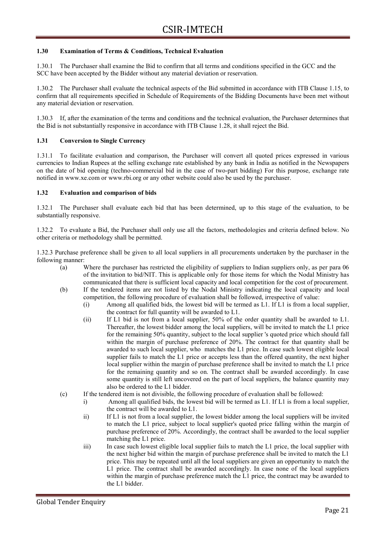#### 1.30 Examination of Terms & Conditions, Technical Evaluation

1.30.1 The Purchaser shall examine the Bid to confirm that all terms and conditions specified in the GCC and the SCC have been accepted by the Bidder without any material deviation or reservation.

1.30.2 The Purchaser shall evaluate the technical aspects of the Bid submitted in accordance with ITB Clause 1.15, to confirm that all requirements specified in Schedule of Requirements of the Bidding Documents have been met without any material deviation or reservation.

1.30.3 If, after the examination of the terms and conditions and the technical evaluation, the Purchaser determines that the Bid is not substantially responsive in accordance with ITB Clause 1.28, it shall reject the Bid.

#### 1.31 Conversion to Single Currency

1.31.1 To facilitate evaluation and comparison, the Purchaser will convert all quoted prices expressed in various currencies to Indian Rupees at the selling exchange rate established by any bank in India as notified in the Newspapers on the date of bid opening (techno-commercial bid in the case of two-part bidding) For this purpose, exchange rate notified in www.xe.com or www.rbi.org or any other website could also be used by the purchaser.

#### 1.32 Evaluation and comparison of bids

1.32.1 The Purchaser shall evaluate each bid that has been determined, up to this stage of the evaluation, to be substantially responsive.

1.32.2 To evaluate a Bid, the Purchaser shall only use all the factors, methodologies and criteria defined below. No other criteria or methodology shall be permitted.

1.32.3 Purchase preference shall be given to all local suppliers in all procurements undertaken by the purchaser in the following manner:

- (a) Where the purchaser has restricted the eligibility of suppliers to Indian suppliers only, as per para 06 of the invitation to bid/NIT. This is applicable only for those items for which the Nodal Ministry has communicated that there is sufficient local capacity and local competition for the cost of procurement.
- (b) If the tendered items are not listed by the Nodal Ministry indicating the local capacity and local competition, the following procedure of evaluation shall be followed, irrespective of value:
	- (i) Among all qualified bids, the lowest bid will be termed as L1. If L1 is from a local supplier, the contract for full quantity will be awarded to L1.
	- (ii) If L1 bid is not from a local supplier, 50% of the order quantity shall be awarded to L1. Thereafter, the lowest bidder among the local suppliers, will be invited to match the L1 price for the remaining 50% quantity, subject to the local supplier 's quoted price which should fall within the margin of purchase preference of 20%. The contract for that quantity shall be awarded to such local supplier, who matches the L1 price. In case such lowest eligible local supplier fails to match the L1 price or accepts less than the offered quantity, the next higher local supplier within the margin of purchase preference shall be invited to match the L1 price for the remaining quantity and so on. The contract shall be awarded accordingly. In case some quantity is still left uncovered on the part of local suppliers, the balance quantity may also be ordered to the L1 bidder.
- (c) If the tendered item is not divisible, the following procedure of evaluation shall be followed:
	- i) Among all qualified bids, the lowest bid will be termed as L1. If L1 is from a local supplier, the contract will be awarded to L1.
	- ii) If L1 is not from a local supplier, the lowest bidder among the local suppliers will be invited to match the L1 price, subject to local supplier's quoted price falling within the margin of purchase preference of 20%. Accordingly, the contract shall be awarded to the local supplier matching the L1 price.
	- iii) In case such lowest eligible local supplier fails to match the L1 price, the local supplier with the next higher bid within the margin of purchase preference shall be invited to match the L1 price. This may be repeated until all the local suppliers are given an opportunity to match the L1 price. The contract shall be awarded accordingly. In case none of the local suppliers within the margin of purchase preference match the L1 price, the contract may be awarded to the L1 bidder.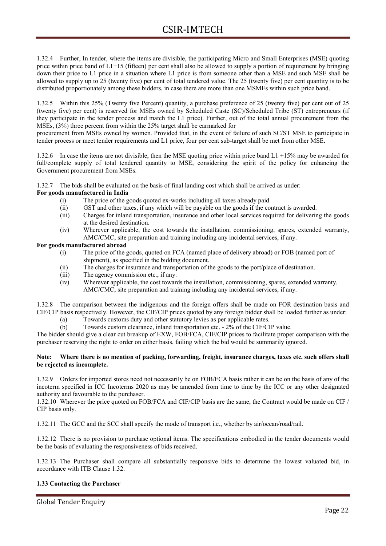1.32.4 Further, In tender, where the items are divisible, the participating Micro and Small Enterprises (MSE) quoting price within price band of L1+15 (fifteen) per cent shall also be allowed to supply a portion of requirement by bringing down their price to L1 price in a situation where L1 price is from someone other than a MSE and such MSE shall be allowed to supply up to 25 (twenty five) per cent of total tendered value. The 25 (twenty five) per cent quantity is to be distributed proportionately among these bidders, in case there are more than one MSMEs within such price band.

1.32.5 Within this 25% (Twenty five Percent) quantity, a purchase preference of 25 (twenty five) per cent out of 25 (twenty five) per cent) is reserved for MSEs owned by Scheduled Caste (SC)/Scheduled Tribe (ST) entrepreneurs (if they participate in the tender process and match the L1 price). Further, out of the total annual procurement from the MSEs, (3%) three percent from within the 25% target shall be earmarked for

procurement from MSEs owned by women. Provided that, in the event of failure of such SC/ST MSE to participate in tender process or meet tender requirements and L1 price, four per cent sub-target shall be met from other MSE.

1.32.6 In case the items are not divisible, then the MSE quoting price within price band L1 +15% may be awarded for full/complete supply of total tendered quantity to MSE, considering the spirit of the policy for enhancing the Government procurement from MSEs.

1.32.7 The bids shall be evaluated on the basis of final landing cost which shall be arrived as under:

#### For goods manufactured in India

- (i) The price of the goods quoted ex-works including all taxes already paid.
- (ii) GST and other taxes, if any which will be payable on the goods if the contract is awarded.
- (iii) Charges for inland transportation, insurance and other local services required for delivering the goods at the desired destination.
- (iv) Wherever applicable, the cost towards the installation, commissioning, spares, extended warranty, AMC/CMC, site preparation and training including any incidental services, if any.

### For goods manufactured abroad

- (i) The price of the goods, quoted on FCA (named place of delivery abroad) or FOB (named port of shipment), as specified in the bidding document.
- (ii) The charges for insurance and transportation of the goods to the port/place of destination.
- (iii) The agency commission etc., if any.
- (iv) Wherever applicable, the cost towards the installation, commissioning, spares, extended warranty, AMC/CMC, site preparation and training including any incidental services, if any.

1.32.8 The comparison between the indigenous and the foreign offers shall be made on FOR destination basis and CIF/CIP basis respectively. However, the CIF/CIP prices quoted by any foreign bidder shall be loaded further as under:

- (a) Towards customs duty and other statutory levies as per applicable rates.
- (b) Towards custom clearance, inland transportation etc. 2% of the CIF/CIP value.

The bidder should give a clear cut breakup of EXW, FOB/FCA, CIF/CIP prices to facilitate proper comparison with the purchaser reserving the right to order on either basis, failing which the bid would be summarily ignored.

#### Note: Where there is no mention of packing, forwarding, freight, insurance charges, taxes etc. such offers shall be rejected as incomplete.

1.32.9 Orders for imported stores need not necessarily be on FOB/FCA basis rather it can be on the basis of any of the incoterm specified in ICC Incoterms 2020 as may be amended from time to time by the ICC or any other designated authority and favourable to the purchaser.

1.32.10 Wherever the price quoted on FOB/FCA and CIF/CIP basis are the same, the Contract would be made on CIF / CIP basis only.

1.32.11 The GCC and the SCC shall specify the mode of transport i.e., whether by air/ocean/road/rail.

1.32.12 There is no provision to purchase optional items. The specifications embodied in the tender documents would be the basis of evaluating the responsiveness of bids received.

1.32.13 The Purchaser shall compare all substantially responsive bids to determine the lowest valuated bid, in accordance with ITB Clause 1.32.

#### 1.33 Contacting the Purchaser

Global Tender Enquiry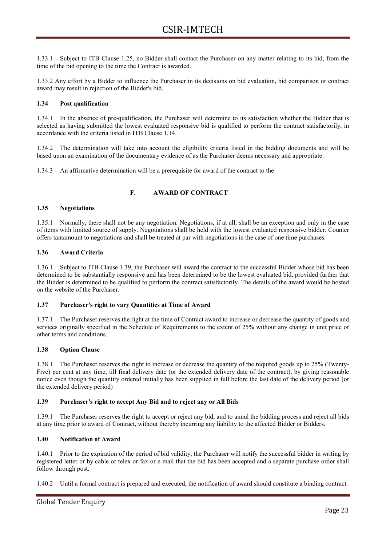1.33.1 Subject to ITB Clause 1.25, no Bidder shall contact the Purchaser on any matter relating to its bid, from the time of the bid opening to the time the Contract is awarded.

1.33.2 Any effort by a Bidder to influence the Purchaser in its decisions on bid evaluation, bid comparison or contract award may result in rejection of the Bidder's bid.

#### 1.34 Post qualification

1.34.1 In the absence of pre-qualification, the Purchaser will determine to its satisfaction whether the Bidder that is selected as having submitted the lowest evaluated responsive bid is qualified to perform the contract satisfactorily, in accordance with the criteria listed in ITB Clause 1.14.

1.34.2 The determination will take into account the eligibility criteria listed in the bidding documents and will be based upon an examination of the documentary evidence of as the Purchaser deems necessary and appropriate.

1.34.3 An affirmative determination will be a prerequisite for award of the contract to the

#### F. AWARD OF CONTRACT

#### 1.35 Negotiations

1.35.1 Normally, there shall not be any negotiation. Negotiations, if at all, shall be an exception and only in the case of items with limited source of supply. Negotiations shall be held with the lowest evaluated responsive bidder. Counter offers tantamount to negotiations and shall be treated at par with negotiations in the case of one time purchases.

#### 1.36 Award Criteria

1.36.1 Subject to ITB Clause 1.39, the Purchaser will award the contract to the successful Bidder whose bid has been determined to be substantially responsive and has been determined to be the lowest evaluated bid, provided further that the Bidder is determined to be qualified to perform the contract satisfactorily. The details of the award would be hosted on the website of the Purchaser.

#### 1.37 Purchaser's right to vary Quantities at Time of Award

1.37.1 The Purchaser reserves the right at the time of Contract award to increase or decrease the quantity of goods and services originally specified in the Schedule of Requirements to the extent of 25% without any change in unit price or other terms and conditions.

#### 1.38 Option Clause

1.38.1 The Purchaser reserves the right to increase or decrease the quantity of the required goods up to 25% (Twenty-Five) per cent at any time, till final delivery date (or the extended delivery date of the contract), by giving reasonable notice even though the quantity ordered initially has been supplied in full before the last date of the delivery period (or the extended delivery period)

#### 1.39 Purchaser's right to accept Any Bid and to reject any or All Bids

1.39.1 The Purchaser reserves the right to accept or reject any bid, and to annul the bidding process and reject all bids at any time prior to award of Contract, without thereby incurring any liability to the affected Bidder or Bidders.

#### 1.40 Notification of Award

1.40.1 Prior to the expiration of the period of bid validity, the Purchaser will notify the successful bidder in writing by registered letter or by cable or telex or fax or e mail that the bid has been accepted and a separate purchase order shall follow through post.

1.40.2 Until a formal contract is prepared and executed, the notification of award should constitute a binding contract.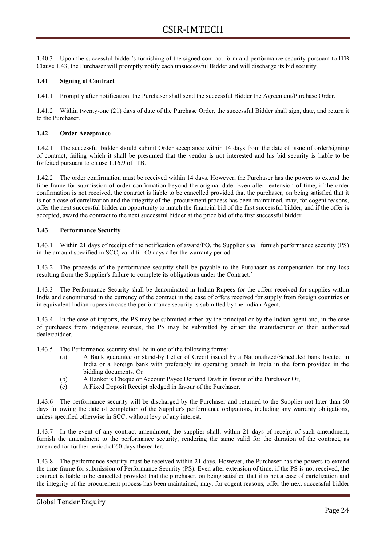1.40.3 Upon the successful bidder's furnishing of the signed contract form and performance security pursuant to ITB Clause 1.43, the Purchaser will promptly notify each unsuccessful Bidder and will discharge its bid security.

#### 1.41 Signing of Contract

1.41.1 Promptly after notification, the Purchaser shall send the successful Bidder the Agreement/Purchase Order.

1.41.2 Within twenty-one (21) days of date of the Purchase Order, the successful Bidder shall sign, date, and return it to the Purchaser.

#### 1.42 Order Acceptance

1.42.1 The successful bidder should submit Order acceptance within 14 days from the date of issue of order/signing of contract, failing which it shall be presumed that the vendor is not interested and his bid security is liable to be forfeited pursuant to clause 1.16.9 of ITB.

1.42.2 The order confirmation must be received within 14 days. However, the Purchaser has the powers to extend the time frame for submission of order confirmation beyond the original date. Even after extension of time, if the order confirmation is not received, the contract is liable to be cancelled provided that the purchaser, on being satisfied that it is not a case of cartelization and the integrity of the procurement process has been maintained, may, for cogent reasons, offer the next successful bidder an opportunity to match the financial bid of the first successful bidder, and if the offer is accepted, award the contract to the next successful bidder at the price bid of the first successful bidder.

#### 1.43 Performance Security

1.43.1 Within 21 days of receipt of the notification of award/PO, the Supplier shall furnish performance security (PS) in the amount specified in SCC, valid till 60 days after the warranty period.

1.43.2 The proceeds of the performance security shall be payable to the Purchaser as compensation for any loss resulting from the Supplier's failure to complete its obligations under the Contract.`

1.43.3 The Performance Security shall be denominated in Indian Rupees for the offers received for supplies within India and denominated in the currency of the contract in the case of offers received for supply from foreign countries or in equivalent Indian rupees in case the performance security is submitted by the Indian Agent.

1.43.4 In the case of imports, the PS may be submitted either by the principal or by the Indian agent and, in the case of purchases from indigenous sources, the PS may be submitted by either the manufacturer or their authorized dealer/bidder.

1.43.5 The Performance security shall be in one of the following forms:

- (a) A Bank guarantee or stand-by Letter of Credit issued by a Nationalized/Scheduled bank located in India or a Foreign bank with preferably its operating branch in India in the form provided in the bidding documents. Or
- (b) A Banker's Cheque or Account Payee Demand Draft in favour of the Purchaser Or,
- (c) A Fixed Deposit Receipt pledged in favour of the Purchaser.

1.43.6 The performance security will be discharged by the Purchaser and returned to the Supplier not later than 60 days following the date of completion of the Supplier's performance obligations, including any warranty obligations, unless specified otherwise in SCC, without levy of any interest.

1.43.7 In the event of any contract amendment, the supplier shall, within 21 days of receipt of such amendment, furnish the amendment to the performance security, rendering the same valid for the duration of the contract, as amended for further period of 60 days thereafter.

1.43.8 The performance security must be received within 21 days. However, the Purchaser has the powers to extend the time frame for submission of Performance Security (PS). Even after extension of time, if the PS is not received, the contract is liable to be cancelled provided that the purchaser, on being satisfied that it is not a case of cartelization and the integrity of the procurement process has been maintained, may, for cogent reasons, offer the next successful bidder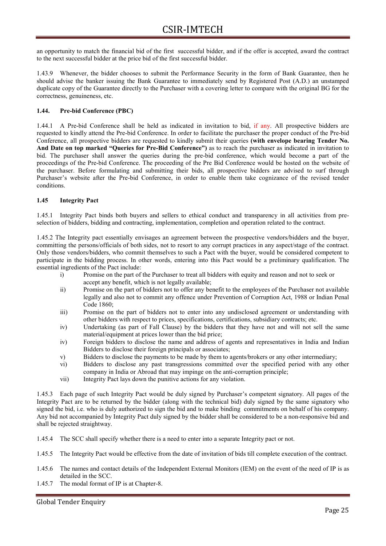an opportunity to match the financial bid of the first successful bidder, and if the offer is accepted, award the contract to the next successful bidder at the price bid of the first successful bidder.

1.43.9 Whenever, the bidder chooses to submit the Performance Security in the form of Bank Guarantee, then he should advise the banker issuing the Bank Guarantee to immediately send by Registered Post (A.D.) an unstamped duplicate copy of the Guarantee directly to the Purchaser with a covering letter to compare with the original BG for the correctness, genuineness, etc.

#### 1.44. Pre-bid Conference (PBC)

1.44.1 A Pre-bid Conference shall be held as indicated in invitation to bid, if any. All prospective bidders are requested to kindly attend the Pre-bid Conference. In order to facilitate the purchaser the proper conduct of the Pre-bid Conference, all prospective bidders are requested to kindly submit their queries (with envelope bearing Tender No. And Date on top marked "Queries for Pre-Bid Conference") as to reach the purchaser as indicated in invitation to bid. The purchaser shall answer the queries during the pre-bid conference, which would become a part of the proceedings of the Pre-bid Conference. The proceeding of the Pre Bid Conference would be hosted on the website of the purchaser. Before formulating and submitting their bids, all prospective bidders are advised to surf through Purchaser's website after the Pre-bid Conference, in order to enable them take cognizance of the revised tender conditions.

#### 1.45 Integrity Pact

1.45.1 Integrity Pact binds both buyers and sellers to ethical conduct and transparency in all activities from preselection of bidders, bidding and contracting, implementation, completion and operation related to the contract.

1.45.2 The Integrity pact essentially envisages an agreement between the prospective vendors/bidders and the buyer, committing the persons/officials of both sides, not to resort to any corrupt practices in any aspect/stage of the contract. Only those vendors/bidders, who commit themselves to such a Pact with the buyer, would be considered competent to participate in the bidding process. In other words, entering into this Pact would be a preliminary qualification. The essential ingredients of the Pact include:

- i) Promise on the part of the Purchaser to treat all bidders with equity and reason and not to seek or accept any benefit, which is not legally available;
- ii) Promise on the part of bidders not to offer any benefit to the employees of the Purchaser not available legally and also not to commit any offence under Prevention of Corruption Act, 1988 or Indian Penal Code 1860;
- iii) Promise on the part of bidders not to enter into any undisclosed agreement or understanding with other bidders with respect to prices, specifications, certifications, subsidiary contracts; etc.
- iv) Undertaking (as part of Fall Clause) by the bidders that they have not and will not sell the same material/equipment at prices lower than the bid price;
- iv) Foreign bidders to disclose the name and address of agents and representatives in India and Indian Bidders to disclose their foreign principals or associates;
- v) Bidders to disclose the payments to be made by them to agents/brokers or any other intermediary;
- vi) Bidders to disclose any past transgressions committed over the specified period with any other company in India or Abroad that may impinge on the anti-corruption principle;
- vii) Integrity Pact lays down the punitive actions for any violation.

1.45.3 Each page of such Integrity Pact would be duly signed by Purchaser's competent signatory. All pages of the Integrity Pact are to be returned by the bidder (along with the technical bid) duly signed by the same signatory who signed the bid, i.e. who is duly authorized to sign the bid and to make binding commitments on behalf of his company. Any bid not accompanied by Integrity Pact duly signed by the bidder shall be considered to be a non-responsive bid and shall be rejected straightway.

- 1.45.4 The SCC shall specify whether there is a need to enter into a separate Integrity pact or not.
- 1.45.5 The Integrity Pact would be effective from the date of invitation of bids till complete execution of the contract.
- 1.45.6 The names and contact details of the Independent External Monitors (IEM) on the event of the need of IP is as detailed in the SCC.
- 1.45.7 The modal format of IP is at Chapter-8.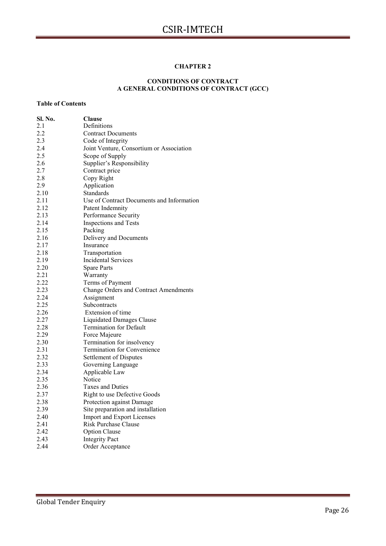### CHAPTER 2

#### CONDITIONS OF CONTRACT A GENERAL CONDITIONS OF CONTRACT (GCC)

# Table of Contents

| Sl. No. | <b>Clause</b>                                |
|---------|----------------------------------------------|
| 2.1     | Definitions                                  |
| 2.2     | <b>Contract Documents</b>                    |
| 2.3     | Code of Integrity                            |
| 2.4     | Joint Venture, Consortium or Association     |
| 2.5     | Scope of Supply                              |
| 2.6     | Supplier's Responsibility                    |
| 2.7     | Contract price                               |
| 2.8     | Copy Right                                   |
| 2.9     | Application                                  |
| 2.10    | Standards                                    |
| 2.11    | Use of Contract Documents and Information    |
| 2.12    | Patent Indemnity                             |
| 2.13    | Performance Security                         |
| 2.14    | <b>Inspections and Tests</b>                 |
| 2.15    | Packing                                      |
| 2.16    | Delivery and Documents                       |
| 2.17    | Insurance                                    |
| 2.18    | Transportation                               |
| 2.19    | Incidental Services                          |
| 2.20    | <b>Spare Parts</b>                           |
| 2.21    | Warranty                                     |
| 2.22    | Terms of Payment                             |
| 2.23    | <b>Change Orders and Contract Amendments</b> |
| 2.24    | Assignment                                   |
| 2.25    | Subcontracts                                 |
| 2.26    | Extension of time                            |
| 2.27    | <b>Liquidated Damages Clause</b>             |
| 2.28    | Termination for Default                      |
| 2.29    | Force Majeure                                |
| 2.30    | Termination for insolvency                   |
| 2.31    | Termination for Convenience                  |
| 2.32    | Settlement of Disputes                       |
| 2.33    | Governing Language                           |
| 2.34    | Applicable Law                               |
| 2.35    | Notice                                       |
| 2.36    | <b>Taxes and Duties</b>                      |
| 2.37    | Right to use Defective Goods                 |
| 2.38    | Protection against Damage                    |
| 2.39    | Site preparation and installation            |
| 2.40    | <b>Import and Export Licenses</b>            |
| 2.41    | <b>Risk Purchase Clause</b>                  |
| 2.42    | <b>Option Clause</b>                         |
| 2.43    | <b>Integrity Pact</b>                        |
| 2.44    | Order Acceptance                             |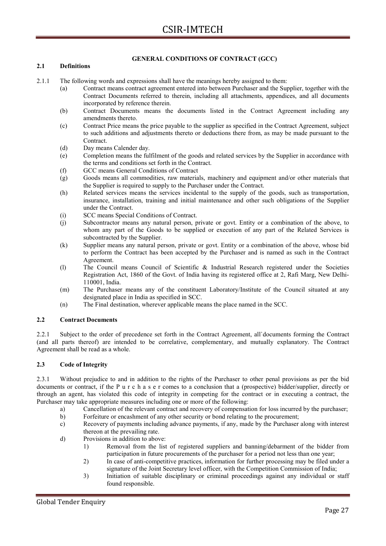### GENERAL CONDITIONS OF CONTRACT (GCC)

#### 2.1 Definitions

- 2.1.1 The following words and expressions shall have the meanings hereby assigned to them:
	- (a) Contract means contract agreement entered into between Purchaser and the Supplier, together with the Contract Documents referred to therein, including all attachments, appendices, and all documents incorporated by reference therein.
	- (b) Contract Documents means the documents listed in the Contract Agreement including any amendments thereto.
	- (c) Contract Price means the price payable to the supplier as specified in the Contract Agreement, subject to such additions and adjustments thereto or deductions there from, as may be made pursuant to the Contract.
	- (d) Day means Calender day.
	- (e) Completion means the fulfilment of the goods and related services by the Supplier in accordance with the terms and conditions set forth in the Contract.
	- (f) GCC means General Conditions of Contract
	- (g) Goods means all commodities, raw materials, machinery and equipment and/or other materials that the Supplier is required to supply to the Purchaser under the Contract.
	- (h) Related services means the services incidental to the supply of the goods, such as transportation, insurance, installation, training and initial maintenance and other such obligations of the Supplier under the Contract.
	- (i) SCC means Special Conditions of Contract.
	- (j) Subcontractor means any natural person, private or govt. Entity or a combination of the above, to whom any part of the Goods to be supplied or execution of any part of the Related Services is subcontracted by the Supplier.
	- (k) Supplier means any natural person, private or govt. Entity or a combination of the above, whose bid to perform the Contract has been accepted by the Purchaser and is named as such in the Contract Agreement.
	- (l) The Council means Council of Scientific & Industrial Research registered under the Societies Registration Act, 1860 of the Govt. of India having its registered office at 2, Rafi Marg, New Delhi-110001, India.
	- (m) The Purchaser means any of the constituent Laboratory/Institute of the Council situated at any designated place in India as specified in SCC.
	- (n) The Final destination, wherever applicable means the place named in the SCC.

#### 2.2 Contract Documents

2.2.1 Subject to the order of precedence set forth in the Contract Agreement, all`documents forming the Contract (and all parts thereof) are intended to be correlative, complementary, and mutually explanatory. The Contract Agreement shall be read as a whole.

#### 2.3 Code of Integrity

2.3.1 Without prejudice to and in addition to the rights of the Purchaser to other penal provisions as per the bid documents or contract, if the P u r c h a s e r comes to a conclusion that a (prospective) bidder/supplier, directly or through an agent, has violated this code of integrity in competing for the contract or in executing a contract, the Purchaser may take appropriate measures including one or more of the following:

- a) Cancellation of the relevant contract and recovery of compensation for loss incurred by the purchaser;
- b) Forfeiture or encashment of any other security or bond relating to the procurement;
- c) Recovery of payments including advance payments, if any, made by the Purchaser along with interest thereon at the prevailing rate.
- d) Provisions in addition to above:
	- 1) Removal from the list of registered suppliers and banning/debarment of the bidder from participation in future procurements of the purchaser for a period not less than one year;
	- 2) In case of anti-competitive practices, information for further processing may be filed under a signature of the Joint Secretary level officer, with the Competition Commission of India;
	- 3) Initiation of suitable disciplinary or criminal proceedings against any individual or staff found responsible.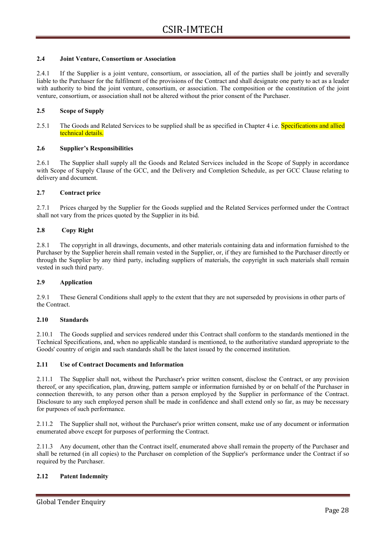#### 2.4 Joint Venture, Consortium or Association

2.4.1 If the Supplier is a joint venture, consortium, or association, all of the parties shall be jointly and severally liable to the Purchaser for the fulfilment of the provisions of the Contract and shall designate one party to act as a leader with authority to bind the joint venture, consortium, or association. The composition or the constitution of the joint venture, consortium, or association shall not be altered without the prior consent of the Purchaser.

#### 2.5 Scope of Supply

2.5.1 The Goods and Related Services to be supplied shall be as specified in Chapter 4 i.e. Specifications and allied technical details.

#### 2.6 Supplier's Responsibilities

2.6.1 The Supplier shall supply all the Goods and Related Services included in the Scope of Supply in accordance with Scope of Supply Clause of the GCC, and the Delivery and Completion Schedule, as per GCC Clause relating to delivery and document.

#### 2.7 Contract price

2.7.1 Prices charged by the Supplier for the Goods supplied and the Related Services performed under the Contract shall not vary from the prices quoted by the Supplier in its bid.

#### 2.8 Copy Right

2.8.1 The copyright in all drawings, documents, and other materials containing data and information furnished to the Purchaser by the Supplier herein shall remain vested in the Supplier, or, if they are furnished to the Purchaser directly or through the Supplier by any third party, including suppliers of materials, the copyright in such materials shall remain vested in such third party.

#### 2.9 Application

2.9.1 These General Conditions shall apply to the extent that they are not superseded by provisions in other parts of the Contract.

#### 2.10 Standards

2.10.1 The Goods supplied and services rendered under this Contract shall conform to the standards mentioned in the Technical Specifications, and, when no applicable standard is mentioned, to the authoritative standard appropriate to the Goods' country of origin and such standards shall be the latest issued by the concerned institution.

#### 2.11 Use of Contract Documents and Information

2.11.1 The Supplier shall not, without the Purchaser's prior written consent, disclose the Contract, or any provision thereof, or any specification, plan, drawing, pattern sample or information furnished by or on behalf of the Purchaser in connection therewith, to any person other than a person employed by the Supplier in performance of the Contract. Disclosure to any such employed person shall be made in confidence and shall extend only so far, as may be necessary for purposes of such performance.

2.11.2 The Supplier shall not, without the Purchaser's prior written consent, make use of any document or information enumerated above except for purposes of performing the Contract.

2.11.3 Any document, other than the Contract itself, enumerated above shall remain the property of the Purchaser and shall be returned (in all copies) to the Purchaser on completion of the Supplier's performance under the Contract if so required by the Purchaser.

#### 2.12 Patent Indemnity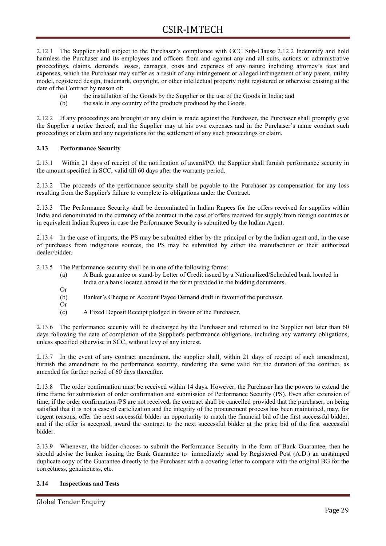2.12.1 The Supplier shall subject to the Purchaser's compliance with GCC Sub-Clause 2.12.2 Indemnify and hold harmless the Purchaser and its employees and officers from and against any and all suits, actions or administrative proceedings, claims, demands, losses, damages, costs and expenses of any nature including attorney's fees and expenses, which the Purchaser may suffer as a result of any infringement or alleged infringement of any patent, utility model, registered design, trademark, copyright, or other intellectual property right registered or otherwise existing at the date of the Contract by reason of:

- (a) the installation of the Goods by the Supplier or the use of the Goods in India; and
- (b) the sale in any country of the products produced by the Goods.

2.12.2 If any proceedings are brought or any claim is made against the Purchaser, the Purchaser shall promptly give the Supplier a notice thereof, and the Supplier may at his own expenses and in the Purchaser's name conduct such proceedings or claim and any negotiations for the settlement of any such proceedings or claim.

#### 2.13 Performance Security

2.13.1 Within 21 days of receipt of the notification of award/PO, the Supplier shall furnish performance security in the amount specified in SCC, valid till 60 days after the warranty period.

2.13.2 The proceeds of the performance security shall be payable to the Purchaser as compensation for any loss resulting from the Supplier's failure to complete its obligations under the Contract.

2.13.3 The Performance Security shall be denominated in Indian Rupees for the offers received for supplies within India and denominated in the currency of the contract in the case of offers received for supply from foreign countries or in equivalent Indian Rupees in case the Performance Security is submitted by the Indian Agent.

2.13.4 In the case of imports, the PS may be submitted either by the principal or by the Indian agent and, in the case of purchases from indigenous sources, the PS may be submitted by either the manufacturer or their authorized dealer/bidder.

2.13.5 The Performance security shall be in one of the following forms:

- (a) A Bank guarantee or stand-by Letter of Credit issued by a Nationalized/Scheduled bank located in India or a bank located abroad in the form provided in the bidding documents.
- Or

Or

- (b) Banker's Cheque or Account Payee Demand draft in favour of the purchaser.
- (c) A Fixed Deposit Receipt pledged in favour of the Purchaser.

2.13.6 The performance security will be discharged by the Purchaser and returned to the Supplier not later than 60 days following the date of completion of the Supplier's performance obligations, including any warranty obligations, unless specified otherwise in SCC, without levy of any interest.

2.13.7 In the event of any contract amendment, the supplier shall, within 21 days of receipt of such amendment, furnish the amendment to the performance security, rendering the same valid for the duration of the contract, as amended for further period of 60 days thereafter.

2.13.8 The order confirmation must be received within 14 days. However, the Purchaser has the powers to extend the time frame for submission of order confirmation and submission of Performance Security (PS). Even after extension of time, if the order confirmation /PS are not received, the contract shall be cancelled provided that the purchaser, on being satisfied that it is not a case of cartelization and the integrity of the procurement process has been maintained, may, for cogent reasons, offer the next successful bidder an opportunity to match the financial bid of the first successful bidder, and if the offer is accepted, award the contract to the next successful bidder at the price bid of the first successful bidder.

2.13.9 Whenever, the bidder chooses to submit the Performance Security in the form of Bank Guarantee, then he should advise the banker issuing the Bank Guarantee to immediately send by Registered Post (A.D.) an unstamped duplicate copy of the Guarantee directly to the Purchaser with a covering letter to compare with the original BG for the correctness, genuineness, etc.

#### 2.14 Inspections and Tests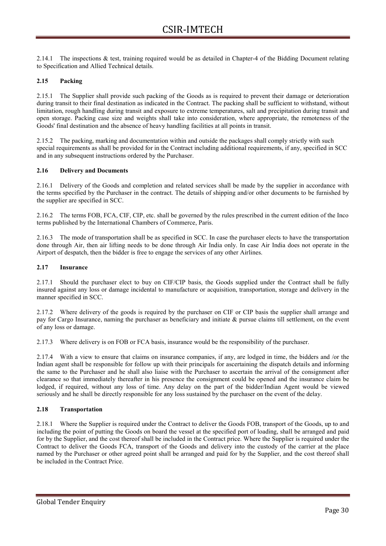2.14.1 The inspections & test, training required would be as detailed in Chapter-4 of the Bidding Document relating to Specification and Allied Technical details.

#### 2.15 Packing

2.15.1 The Supplier shall provide such packing of the Goods as is required to prevent their damage or deterioration during transit to their final destination as indicated in the Contract. The packing shall be sufficient to withstand, without limitation, rough handling during transit and exposure to extreme temperatures, salt and precipitation during transit and open storage. Packing case size and weights shall take into consideration, where appropriate, the remoteness of the Goods' final destination and the absence of heavy handling facilities at all points in transit.

2.15.2 The packing, marking and documentation within and outside the packages shall comply strictly with such special requirements as shall be provided for in the Contract including additional requirements, if any, specified in SCC and in any subsequent instructions ordered by the Purchaser.

#### 2.16 Delivery and Documents

2.16.1 Delivery of the Goods and completion and related services shall be made by the supplier in accordance with the terms specified by the Purchaser in the contract. The details of shipping and/or other documents to be furnished by the supplier are specified in SCC.

2.16.2 The terms FOB, FCA, CIF, CIP, etc. shall be governed by the rules prescribed in the current edition of the Inco terms published by the International Chambers of Commerce, Paris.

2.16.3 The mode of transportation shall be as specified in SCC. In case the purchaser elects to have the transportation done through Air, then air lifting needs to be done through Air India only. In case Air India does not operate in the Airport of despatch, then the bidder is free to engage the services of any other Airlines.

#### 2.17 Insurance

2.17.1 Should the purchaser elect to buy on CIF/CIP basis, the Goods supplied under the Contract shall be fully insured against any loss or damage incidental to manufacture or acquisition, transportation, storage and delivery in the manner specified in SCC.

2.17.2 Where delivery of the goods is required by the purchaser on CIF or CIP basis the supplier shall arrange and pay for Cargo Insurance, naming the purchaser as beneficiary and initiate & pursue claims till settlement, on the event of any loss or damage.

2.17.3 Where delivery is on FOB or FCA basis, insurance would be the responsibility of the purchaser.

2.17.4 With a view to ensure that claims on insurance companies, if any, are lodged in time, the bidders and /or the Indian agent shall be responsible for follow up with their principals for ascertaining the dispatch details and informing the same to the Purchaser and he shall also liaise with the Purchaser to ascertain the arrival of the consignment after clearance so that immediately thereafter in his presence the consignment could be opened and the insurance claim be lodged, if required, without any loss of time. Any delay on the part of the bidder/Indian Agent would be viewed seriously and he shall be directly responsible for any loss sustained by the purchaser on the event of the delay.

#### 2.18 Transportation

2.18.1 Where the Supplier is required under the Contract to deliver the Goods FOB, transport of the Goods, up to and including the point of putting the Goods on board the vessel at the specified port of loading, shall be arranged and paid for by the Supplier, and the cost thereof shall be included in the Contract price. Where the Supplier is required under the Contract to deliver the Goods FCA, transport of the Goods and delivery into the custody of the carrier at the place named by the Purchaser or other agreed point shall be arranged and paid for by the Supplier, and the cost thereof shall be included in the Contract Price.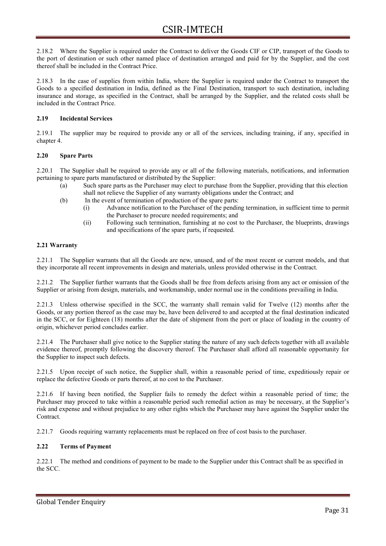2.18.2 Where the Supplier is required under the Contract to deliver the Goods CIF or CIP, transport of the Goods to the port of destination or such other named place of destination arranged and paid for by the Supplier, and the cost thereof shall be included in the Contract Price.

2.18.3 In the case of supplies from within India, where the Supplier is required under the Contract to transport the Goods to a specified destination in India, defined as the Final Destination, transport to such destination, including insurance and storage, as specified in the Contract, shall be arranged by the Supplier, and the related costs shall be included in the Contract Price.

#### 2.19 Incidental Services

2.19.1 The supplier may be required to provide any or all of the services, including training, if any, specified in chapter 4.

#### 2.20 Spare Parts

2.20.1 The Supplier shall be required to provide any or all of the following materials, notifications, and information pertaining to spare parts manufactured or distributed by the Supplier:

- (a) Such spare parts as the Purchaser may elect to purchase from the Supplier, providing that this election shall not relieve the Supplier of any warranty obligations under the Contract; and
- (b) In the event of termination of production of the spare parts:
	- (i) Advance notification to the Purchaser of the pending termination, in sufficient time to permit the Purchaser to procure needed requirements; and
	- (ii) Following such termination, furnishing at no cost to the Purchaser, the blueprints, drawings and specifications of the spare parts, if requested.

#### 2.21 Warranty

2.21.1 The Supplier warrants that all the Goods are new, unused, and of the most recent or current models, and that they incorporate all recent improvements in design and materials, unless provided otherwise in the Contract.

2.21.2 The Supplier further warrants that the Goods shall be free from defects arising from any act or omission of the Supplier or arising from design, materials, and workmanship, under normal use in the conditions prevailing in India.

2.21.3 Unless otherwise specified in the SCC, the warranty shall remain valid for Twelve (12) months after the Goods, or any portion thereof as the case may be, have been delivered to and accepted at the final destination indicated in the SCC, or for Eighteen (18) months after the date of shipment from the port or place of loading in the country of origin, whichever period concludes earlier.

2.21.4 The Purchaser shall give notice to the Supplier stating the nature of any such defects together with all available evidence thereof, promptly following the discovery thereof. The Purchaser shall afford all reasonable opportunity for the Supplier to inspect such defects.

2.21.5 Upon receipt of such notice, the Supplier shall, within a reasonable period of time, expeditiously repair or replace the defective Goods or parts thereof, at no cost to the Purchaser.

2.21.6 If having been notified, the Supplier fails to remedy the defect within a reasonable period of time; the Purchaser may proceed to take within a reasonable period such remedial action as may be necessary, at the Supplier's risk and expense and without prejudice to any other rights which the Purchaser may have against the Supplier under the Contract.

2.21.7 Goods requiring warranty replacements must be replaced on free of cost basis to the purchaser.

#### 2.22 Terms of Payment

2.22.1 The method and conditions of payment to be made to the Supplier under this Contract shall be as specified in the SCC.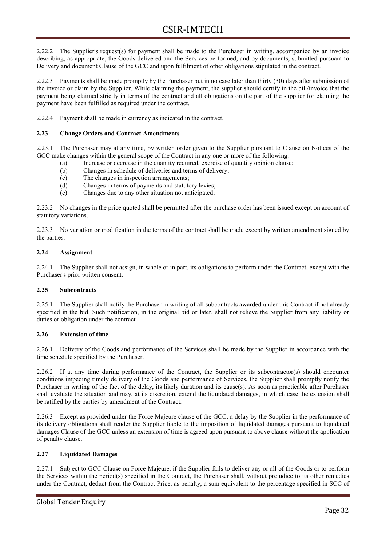2.22.2 The Supplier's request(s) for payment shall be made to the Purchaser in writing, accompanied by an invoice describing, as appropriate, the Goods delivered and the Services performed, and by documents, submitted pursuant to Delivery and document Clause of the GCC and upon fulfilment of other obligations stipulated in the contract.

2.22.3 Payments shall be made promptly by the Purchaser but in no case later than thirty (30) days after submission of the invoice or claim by the Supplier. While claiming the payment, the supplier should certify in the bill/invoice that the payment being claimed strictly in terms of the contract and all obligations on the part of the supplier for claiming the payment have been fulfilled as required under the contract.

2.22.4 Payment shall be made in currency as indicated in the contract.

#### 2.23 Change Orders and Contract Amendments

2.23.1 The Purchaser may at any time, by written order given to the Supplier pursuant to Clause on Notices of the GCC make changes within the general scope of the Contract in any one or more of the following:

- (a) Increase or decrease in the quantity required, exercise of quantity opinion clause;
- (b) Changes in schedule of deliveries and terms of delivery;
- (c) The changes in inspection arrangements;
- (d) Changes in terms of payments and statutory levies;
- (e) Changes due to any other situation not anticipated;

2.23.2 No changes in the price quoted shall be permitted after the purchase order has been issued except on account of statutory variations.

2.23.3 No variation or modification in the terms of the contract shall be made except by written amendment signed by the parties.

#### 2.24 Assignment

2.24.1 The Supplier shall not assign, in whole or in part, its obligations to perform under the Contract, except with the Purchaser's prior written consent.

### 2.25 Subcontracts

2.25.1 The Supplier shall notify the Purchaser in writing of all subcontracts awarded under this Contract if not already specified in the bid. Such notification, in the original bid or later, shall not relieve the Supplier from any liability or duties or obligation under the contract.

#### 2.26 Extension of time.

2.26.1 Delivery of the Goods and performance of the Services shall be made by the Supplier in accordance with the time schedule specified by the Purchaser.

2.26.2 If at any time during performance of the Contract, the Supplier or its subcontractor(s) should encounter conditions impeding timely delivery of the Goods and performance of Services, the Supplier shall promptly notify the Purchaser in writing of the fact of the delay, its likely duration and its cause(s). As soon as practicable after Purchaser shall evaluate the situation and may, at its discretion, extend the liquidated damages, in which case the extension shall be ratified by the parties by amendment of the Contract.

2.26.3 Except as provided under the Force Majeure clause of the GCC, a delay by the Supplier in the performance of its delivery obligations shall render the Supplier liable to the imposition of liquidated damages pursuant to liquidated damages Clause of the GCC unless an extension of time is agreed upon pursuant to above clause without the application of penalty clause.

#### 2.27 Liquidated Damages

2.27.1 Subject to GCC Clause on Force Majeure, if the Supplier fails to deliver any or all of the Goods or to perform the Services within the period(s) specified in the Contract, the Purchaser shall, without prejudice to its other remedies under the Contract, deduct from the Contract Price, as penalty, a sum equivalent to the percentage specified in SCC of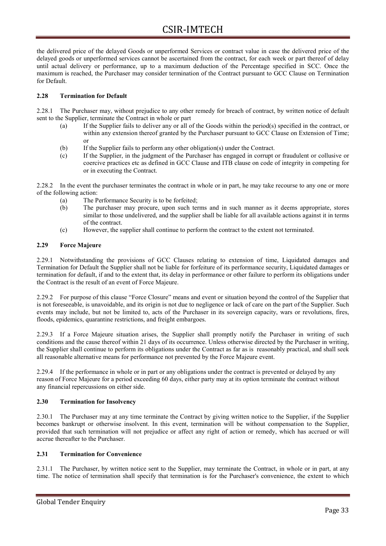the delivered price of the delayed Goods or unperformed Services or contract value in case the delivered price of the delayed goods or unperformed services cannot be ascertained from the contract, for each week or part thereof of delay until actual delivery or performance, up to a maximum deduction of the Percentage specified in SCC. Once the maximum is reached, the Purchaser may consider termination of the Contract pursuant to GCC Clause on Termination for Default.

#### 2.28 Termination for Default

2.28.1 The Purchaser may, without prejudice to any other remedy for breach of contract, by written notice of default sent to the Supplier, terminate the Contract in whole or part

- (a) If the Supplier fails to deliver any or all of the Goods within the period(s) specified in the contract, or within any extension thereof granted by the Purchaser pursuant to GCC Clause on Extension of Time; or
- (b) If the Supplier fails to perform any other obligation(s) under the Contract.
- (c) If the Supplier, in the judgment of the Purchaser has engaged in corrupt or fraudulent or collusive or coercive practices etc as defined in GCC Clause and ITB clause on code of integrity in competing for or in executing the Contract.

2.28.2 In the event the purchaser terminates the contract in whole or in part, he may take recourse to any one or more of the following action:

- (a) The Performance Security is to be forfeited;
- (b) The purchaser may procure, upon such terms and in such manner as it deems appropriate, stores similar to those undelivered, and the supplier shall be liable for all available actions against it in terms of the contract.
- (c) However, the supplier shall continue to perform the contract to the extent not terminated.

#### 2.29 Force Majeure

2.29.1 Notwithstanding the provisions of GCC Clauses relating to extension of time, Liquidated damages and Termination for Default the Supplier shall not be liable for forfeiture of its performance security, Liquidated damages or termination for default, if and to the extent that, its delay in performance or other failure to perform its obligations under the Contract is the result of an event of Force Majeure.

2.29.2 For purpose of this clause "Force Closure" means and event or situation beyond the control of the Supplier that is not foreseeable, is unavoidable, and its origin is not due to negligence or lack of care on the part of the Supplier. Such events may include, but not be limited to, acts of the Purchaser in its sovereign capacity, wars or revolutions, fires, floods, epidemics, quarantine restrictions, and freight embargoes.

2.29.3 If a Force Majeure situation arises, the Supplier shall promptly notify the Purchaser in writing of such conditions and the cause thereof within 21 days of its occurrence. Unless otherwise directed by the Purchaser in writing, the Supplier shall continue to perform its obligations under the Contract as far as is reasonably practical, and shall seek all reasonable alternative means for performance not prevented by the Force Majeure event.

2.29.4 If the performance in whole or in part or any obligations under the contract is prevented or delayed by any reason of Force Majeure for a period exceeding 60 days, either party may at its option terminate the contract without any financial repercussions on either side.

#### 2.30 Termination for Insolvency

2.30.1 The Purchaser may at any time terminate the Contract by giving written notice to the Supplier, if the Supplier becomes bankrupt or otherwise insolvent. In this event, termination will be without compensation to the Supplier, provided that such termination will not prejudice or affect any right of action or remedy, which has accrued or will accrue thereafter to the Purchaser.

#### 2.31 Termination for Convenience

2.31.1 The Purchaser, by written notice sent to the Supplier, may terminate the Contract, in whole or in part, at any time. The notice of termination shall specify that termination is for the Purchaser's convenience, the extent to which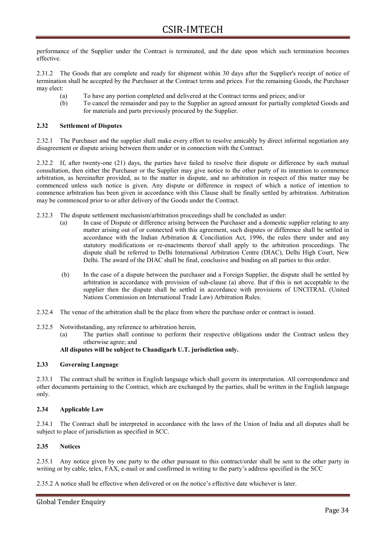performance of the Supplier under the Contract is terminated, and the date upon which such termination becomes effective.

2.31.2 The Goods that are complete and ready for shipment within 30 days after the Supplier's receipt of notice of termination shall be accepted by the Purchaser at the Contract terms and prices. For the remaining Goods, the Purchaser may elect:

- (a) To have any portion completed and delivered at the Contract terms and prices; and/or
- (b) To cancel the remainder and pay to the Supplier an agreed amount for partially completed Goods and for materials and parts previously procured by the Supplier.

#### 2.32 Settlement of Disputes

2.32.1 The Purchaser and the supplier shall make every effort to resolve amicably by direct informal negotiation any disagreement or dispute arising between them under or in connection with the Contract.

2.32.2 If, after twenty-one (21) days, the parties have failed to resolve their dispute or difference by such mutual consultation, then either the Purchaser or the Supplier may give notice to the other party of its intention to commence arbitration, as hereinafter provided, as to the matter in dispute, and no arbitration in respect of this matter may be commenced unless such notice is given. Any dispute or difference in respect of which a notice of intention to commence arbitration has been given in accordance with this Clause shall be finally settled by arbitration. Arbitration may be commenced prior to or after delivery of the Goods under the Contract.

- 2.32.3 The dispute settlement mechanism/arbitration proceedings shall be concluded as under:
	- (a) In case of Dispute or difference arising between the Purchaser and a domestic supplier relating to any matter arising out of or connected with this agreement, such disputes or difference shall be settled in accordance with the Indian Arbitration & Conciliation Act, 1996, the rules there under and any statutory modifications or re-enactments thereof shall apply to the arbitration proceedings. The dispute shall be referred to Delhi International Arbitration Centre (DIAC), Delhi High Court, New Delhi. The award of the DIAC shall be final, conclusive and binding on all parties to this order.
	- (b) In the case of a dispute between the purchaser and a Foreign Supplier, the dispute shall be settled by arbitration in accordance with provision of sub-clause (a) above. But if this is not acceptable to the supplier then the dispute shall be settled in accordance with provisions of UNCITRAL (United Nations Commission on International Trade Law) Arbitration Rules.
- 2.32.4 The venue of the arbitration shall be the place from where the purchase order or contract is issued.
- 2.32.5 Notwithstanding, any reference to arbitration herein,
	- (a) The parties shall continue to perform their respective obligations under the Contract unless they otherwise agree; and

#### All disputes will be subject to Chandigarh U.T. jurisdiction only.

#### 2.33 Governing Language

2.33.1 The contract shall be written in English language which shall govern its interpretation. All correspondence and other documents pertaining to the Contract, which are exchanged by the parties, shall be written in the English language only.

#### 2.34 Applicable Law

2.34.1 The Contract shall be interpreted in accordance with the laws of the Union of India and all disputes shall be subject to place of jurisdiction as specified in SCC.

#### 2.35 Notices

2.35.1 Any notice given by one party to the other pursuant to this contract/order shall be sent to the other party in writing or by cable, telex, FAX, e-mail or and confirmed in writing to the party's address specified in the SCC

2.35.2 A notice shall be effective when delivered or on the notice's effective date whichever is later.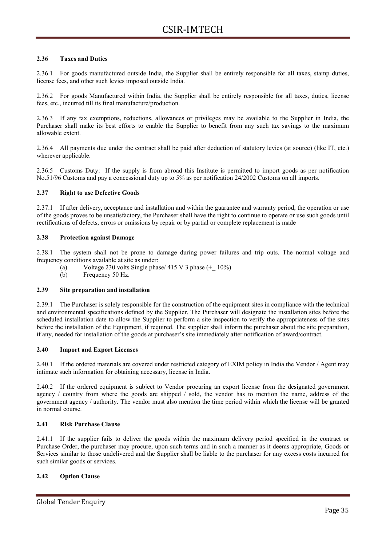#### 2.36 Taxes and Duties

2.36.1 For goods manufactured outside India, the Supplier shall be entirely responsible for all taxes, stamp duties, license fees, and other such levies imposed outside India.

2.36.2 For goods Manufactured within India, the Supplier shall be entirely responsible for all taxes, duties, license fees, etc., incurred till its final manufacture/production.

2.36.3 If any tax exemptions, reductions, allowances or privileges may be available to the Supplier in India, the Purchaser shall make its best efforts to enable the Supplier to benefit from any such tax savings to the maximum allowable extent.

2.36.4 All payments due under the contract shall be paid after deduction of statutory levies (at source) (like IT, etc.) wherever applicable.

2.36.5 Customs Duty: If the supply is from abroad this Institute is permitted to import goods as per notification No.51/96 Customs and pay a concessional duty up to 5% as per notification 24/2002 Customs on all imports.

#### 2.37 Right to use Defective Goods

2.37.1 If after delivery, acceptance and installation and within the guarantee and warranty period, the operation or use of the goods proves to be unsatisfactory, the Purchaser shall have the right to continue to operate or use such goods until rectifications of defects, errors or omissions by repair or by partial or complete replacement is made

#### 2.38 Protection against Damage

2.38.1 The system shall not be prone to damage during power failures and trip outs. The normal voltage and frequency conditions available at site as under:

- (a) Voltage 230 volts Single phase/ 415 V 3 phase  $(+10\%)$
- (b) Frequency 50 Hz.

#### 2.39 Site preparation and installation

2.39.1 The Purchaser is solely responsible for the construction of the equipment sites in compliance with the technical and environmental specifications defined by the Supplier. The Purchaser will designate the installation sites before the scheduled installation date to allow the Supplier to perform a site inspection to verify the appropriateness of the sites before the installation of the Equipment, if required. The supplier shall inform the purchaser about the site preparation, if any, needed for installation of the goods at purchaser's site immediately after notification of award/contract.

#### 2.40 Import and Export Licenses

2.40.1 If the ordered materials are covered under restricted category of EXIM policy in India the Vendor / Agent may intimate such information for obtaining necessary, license in India.

2.40.2 If the ordered equipment is subject to Vendor procuring an export license from the designated government agency / country from where the goods are shipped / sold, the vendor has to mention the name, address of the government agency / authority. The vendor must also mention the time period within which the license will be granted in normal course.

#### 2.41 Risk Purchase Clause

2.41.1 If the supplier fails to deliver the goods within the maximum delivery period specified in the contract or Purchase Order, the purchaser may procure, upon such terms and in such a manner as it deems appropriate, Goods or Services similar to those undelivered and the Supplier shall be liable to the purchaser for any excess costs incurred for such similar goods or services.

#### 2.42 Option Clause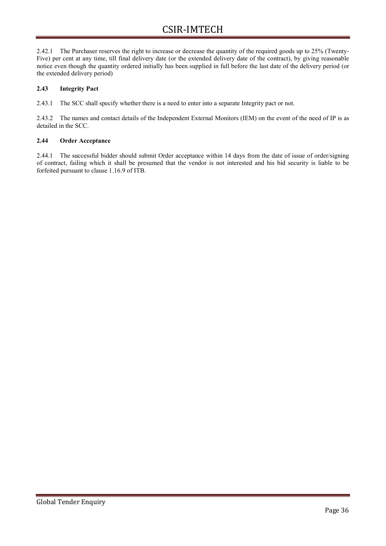2.42.1 The Purchaser reserves the right to increase or decrease the quantity of the required goods up to 25% (Twenty-Five) per cent at any time, till final delivery date (or the extended delivery date of the contract), by giving reasonable notice even though the quantity ordered initially has been supplied in full before the last date of the delivery period (or the extended delivery period)

# 2.43 Integrity Pact

2.43.1 The SCC shall specify whether there is a need to enter into a separate Integrity pact or not.

2.43.2 The names and contact details of the Independent External Monitors (IEM) on the event of the need of IP is as detailed in the SCC.

#### 2.44 Order Acceptance

2.44.1 The successful bidder should submit Order acceptance within 14 days from the date of issue of order/signing of contract, failing which it shall be presumed that the vendor is not interested and his bid security is liable to be forfeited pursuant to clause 1.16.9 of ITB.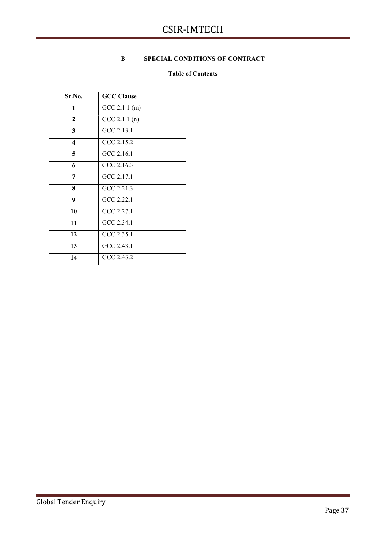# B SPECIAL CONDITIONS OF CONTRACT

### Table of Contents

| Sr.No.                  | <b>GCC Clause</b> |
|-------------------------|-------------------|
| 1                       | GCC 2.1.1 (m)     |
| $\boldsymbol{2}$        | GCC 2.1.1(n)      |
| 3                       | GCC 2.13.1        |
| $\overline{\mathbf{4}}$ | GCC 2.15.2        |
| 5                       | GCC 2.16.1        |
| 6                       | GCC 2.16.3        |
| 7                       | GCC 2.17.1        |
| 8                       | GCC 2.21.3        |
| 9                       | GCC 2.22.1        |
| 10                      | GCC 2.27.1        |
| 11                      | GCC 2.34.1        |
| 12                      | GCC 2.35.1        |
| 13                      | GCC 2.43.1        |
| 14                      | GCC 2.43.2        |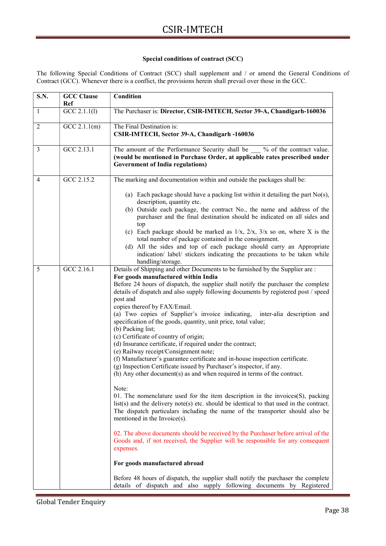# Special conditions of contract (SCC)

The following Special Conditions of Contract (SCC) shall supplement and / or amend the General Conditions of Contract (GCC). Whenever there is a conflict, the provisions herein shall prevail over those in the GCC.

| $\mathbf{1}$                 |                 |                                                                                                                                                                                                                                                                                                                                                                                                                                                                                                                                                                                                                                                                                                                                                                                                                                                                                                                                                                                                                                                                                                                                                                                                                                                                                                                                                                                                                                                                                                                                                                                                       |
|------------------------------|-----------------|-------------------------------------------------------------------------------------------------------------------------------------------------------------------------------------------------------------------------------------------------------------------------------------------------------------------------------------------------------------------------------------------------------------------------------------------------------------------------------------------------------------------------------------------------------------------------------------------------------------------------------------------------------------------------------------------------------------------------------------------------------------------------------------------------------------------------------------------------------------------------------------------------------------------------------------------------------------------------------------------------------------------------------------------------------------------------------------------------------------------------------------------------------------------------------------------------------------------------------------------------------------------------------------------------------------------------------------------------------------------------------------------------------------------------------------------------------------------------------------------------------------------------------------------------------------------------------------------------------|
|                              | GCC 2.1.1(1)    | The Purchaser is: Director, CSIR-IMTECH, Sector 39-A, Chandigarh-160036                                                                                                                                                                                                                                                                                                                                                                                                                                                                                                                                                                                                                                                                                                                                                                                                                                                                                                                                                                                                                                                                                                                                                                                                                                                                                                                                                                                                                                                                                                                               |
| $\overline{2}$               | $GCC\ 2.1.1(m)$ | The Final Destination is:<br>CSIR-IMTECH, Sector 39-A, Chandigarh -160036                                                                                                                                                                                                                                                                                                                                                                                                                                                                                                                                                                                                                                                                                                                                                                                                                                                                                                                                                                                                                                                                                                                                                                                                                                                                                                                                                                                                                                                                                                                             |
| GCC 2.13.1<br>3              |                 | The amount of the Performance Security shall be __ % of the contract value.<br>(would be mentioned in Purchase Order, at applicable rates prescribed under<br><b>Government of India regulations)</b>                                                                                                                                                                                                                                                                                                                                                                                                                                                                                                                                                                                                                                                                                                                                                                                                                                                                                                                                                                                                                                                                                                                                                                                                                                                                                                                                                                                                 |
| GCC 2.15.2<br>$\overline{4}$ |                 | The marking and documentation within and outside the packages shall be:<br>(a) Each package should have a packing list within it detailing the part $No(s)$ ,<br>description, quantity etc.<br>(b) Outside each package, the contract No., the name and address of the<br>purchaser and the final destination should be indicated on all sides and<br>top<br>(c) Each package should be marked as $1/x$ , $2/x$ , $3/x$ so on, where X is the<br>total number of package contained in the consignment.<br>(d) All the sides and top of each package should carry an Appropriate<br>indication/ label/ stickers indicating the precautions to be taken while<br>handling/storage.                                                                                                                                                                                                                                                                                                                                                                                                                                                                                                                                                                                                                                                                                                                                                                                                                                                                                                                      |
| GCC 2.16.1<br>5              |                 | Details of Shipping and other Documents to be furnished by the Supplier are:<br>For goods manufactured within India<br>Before 24 hours of dispatch, the supplier shall notify the purchaser the complete<br>details of dispatch and also supply following documents by registered post / speed<br>post and<br>copies thereof by FAX/Email.<br>(a) Two copies of Supplier's invoice indicating, inter-alia description and<br>specification of the goods, quantity, unit price, total value;<br>(b) Packing list;<br>(c) Certificate of country of origin;<br>(d) Insurance certificate, if required under the contract;<br>(e) Railway receipt/Consignment note;<br>(f) Manufacturer's guarantee certificate and in-house inspection certificate.<br>(g) Inspection Certificate issued by Purchaser's inspector, if any.<br>(h) Any other document(s) as and when required in terms of the contract.<br>Note:<br>01. The nomenclature used for the item description in the invoices $(S)$ , packing<br>$list(s)$ and the delivery note(s) etc. should be identical to that used in the contract.<br>The dispatch particulars including the name of the transporter should also be<br>mentioned in the Invoice(s).<br>02. The above documents should be received by the Purchaser before arrival of the<br>Goods and, if not received, the Supplier will be responsible for any consequent<br>expenses.<br>For goods manufactured abroad<br>Before 48 hours of dispatch, the supplier shall notify the purchaser the complete<br>details of dispatch and also supply following documents by Registered |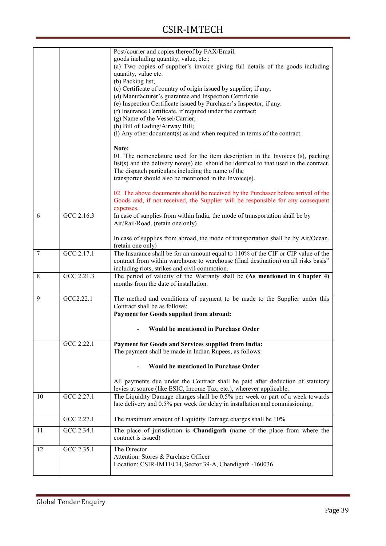|    |              | Post/courier and copies thereof by FAX/Email.<br>goods including quantity, value, etc.;<br>(a) Two copies of supplier's invoice giving full details of the goods including<br>quantity, value etc.<br>(b) Packing list;<br>(c) Certificate of country of origin issued by supplier; if any;<br>(d) Manufacturer's guarantee and Inspection Certificate<br>(e) Inspection Certificate issued by Purchaser's Inspector, if any.<br>(f) Insurance Certificate, if required under the contract;<br>(g) Name of the Vessel/Carrier;<br>(h) Bill of Lading/Airway Bill;<br>(1) Any other document(s) as and when required in terms of the contract.<br>Note:<br>01. The nomenclature used for the item description in the Invoices (s), packing<br>$list(s)$ and the delivery note(s) etc. should be identical to that used in the contract.<br>The dispatch particulars including the name of the<br>transporter should also be mentioned in the Invoice(s). |
|----|--------------|---------------------------------------------------------------------------------------------------------------------------------------------------------------------------------------------------------------------------------------------------------------------------------------------------------------------------------------------------------------------------------------------------------------------------------------------------------------------------------------------------------------------------------------------------------------------------------------------------------------------------------------------------------------------------------------------------------------------------------------------------------------------------------------------------------------------------------------------------------------------------------------------------------------------------------------------------------|
|    |              | 02. The above documents should be received by the Purchaser before arrival of the<br>Goods and, if not received, the Supplier will be responsible for any consequent<br>expenses.                                                                                                                                                                                                                                                                                                                                                                                                                                                                                                                                                                                                                                                                                                                                                                       |
| 6  | GCC $2.16.3$ | In case of supplies from within India, the mode of transportation shall be by<br>Air/Rail/Road. (retain one only)<br>In case of supplies from abroad, the mode of transportation shall be by Air/Ocean.                                                                                                                                                                                                                                                                                                                                                                                                                                                                                                                                                                                                                                                                                                                                                 |
|    |              | (retain one only)                                                                                                                                                                                                                                                                                                                                                                                                                                                                                                                                                                                                                                                                                                                                                                                                                                                                                                                                       |
| 7  | GCC 2.17.1   | The Insurance shall be for an amount equal to 110% of the CIF or CIP value of the<br>contract from within warehouse to warehouse (final destination) on all risks basis"<br>including riots, strikes and civil commotion.                                                                                                                                                                                                                                                                                                                                                                                                                                                                                                                                                                                                                                                                                                                               |
| 8  | GCC 2.21.3   | The period of validity of the Warranty shall be (As mentioned in Chapter 4)<br>months from the date of installation.                                                                                                                                                                                                                                                                                                                                                                                                                                                                                                                                                                                                                                                                                                                                                                                                                                    |
| 9  | GCC2.22.1    | The method and conditions of payment to be made to the Supplier under this<br>Contract shall be as follows:<br>Payment for Goods supplied from abroad:<br><b>Would be mentioned in Purchase Order</b>                                                                                                                                                                                                                                                                                                                                                                                                                                                                                                                                                                                                                                                                                                                                                   |
|    | GCC 2.22.1   | Payment for Goods and Services supplied from India:<br>The payment shall be made in Indian Rupees, as follows:                                                                                                                                                                                                                                                                                                                                                                                                                                                                                                                                                                                                                                                                                                                                                                                                                                          |
|    |              | Would be mentioned in Purchase Order                                                                                                                                                                                                                                                                                                                                                                                                                                                                                                                                                                                                                                                                                                                                                                                                                                                                                                                    |
|    |              | All payments due under the Contract shall be paid after deduction of statutory<br>levies at source (like ESIC, Income Tax, etc.), wherever applicable.                                                                                                                                                                                                                                                                                                                                                                                                                                                                                                                                                                                                                                                                                                                                                                                                  |
| 10 | GCC 2.27.1   | The Liquidity Damage charges shall be 0.5% per week or part of a week towards<br>late delivery and 0.5% per week for delay in installation and commissioning.                                                                                                                                                                                                                                                                                                                                                                                                                                                                                                                                                                                                                                                                                                                                                                                           |
|    | GCC 2.27.1   | The maximum amount of Liquidity Damage charges shall be 10%                                                                                                                                                                                                                                                                                                                                                                                                                                                                                                                                                                                                                                                                                                                                                                                                                                                                                             |
| 11 | GCC 2.34.1   | The place of jurisdiction is Chandigarh (name of the place from where the<br>contract is issued)                                                                                                                                                                                                                                                                                                                                                                                                                                                                                                                                                                                                                                                                                                                                                                                                                                                        |
| 12 | GCC 2.35.1   | The Director<br>Attention: Stores & Purchase Officer<br>Location: CSIR-IMTECH, Sector 39-A, Chandigarh -160036                                                                                                                                                                                                                                                                                                                                                                                                                                                                                                                                                                                                                                                                                                                                                                                                                                          |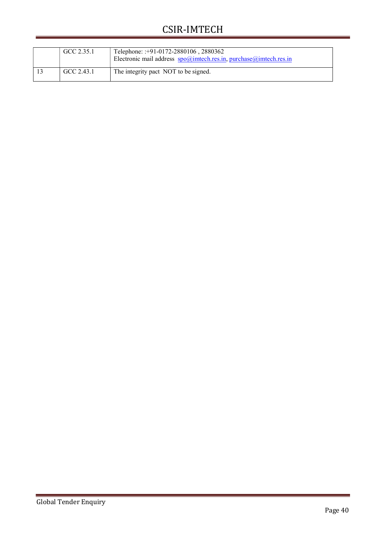| GCC 2.35.1 | Telephone: :+91-0172-2880106, 2880362<br>Electronic mail address spo@imtech.res.in, purchase@imtech.res.in |
|------------|------------------------------------------------------------------------------------------------------------|
| GCC 2.43.1 | The integrity pact NOT to be signed.                                                                       |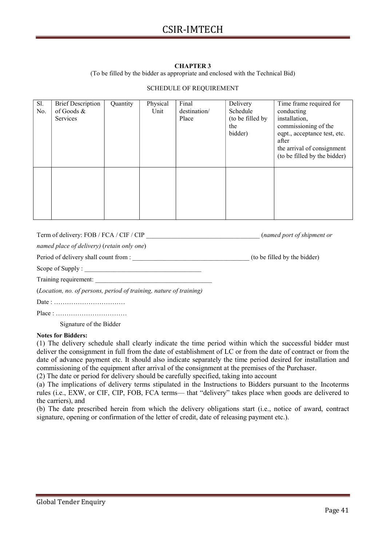#### CHAPTER 3 (To be filled by the bidder as appropriate and enclosed with the Technical Bid)

| Sl.<br>No. | <b>Brief Description</b><br>of Goods &<br>Services | Quantity | Physical<br>Unit | Final<br>destination/<br>Place | Delivery<br>Schedule<br>(to be filled by<br>the<br>bidder) | Time frame required for<br>conducting<br>installation,<br>commissioning of the<br>eqpt., acceptance test, etc.<br>after<br>the arrival of consignment<br>(to be filled by the bidder) |
|------------|----------------------------------------------------|----------|------------------|--------------------------------|------------------------------------------------------------|---------------------------------------------------------------------------------------------------------------------------------------------------------------------------------------|
|            |                                                    |          |                  |                                |                                                            |                                                                                                                                                                                       |

# SCHEDULE OF REQUIREMENT

| Term of delivery: FOB / FCA / CIF / CIP | (named port of shipment or |
|-----------------------------------------|----------------------------|
|                                         |                            |

|  |  | named place of delivery) (retain only one) |  |
|--|--|--------------------------------------------|--|
|  |  |                                            |  |

Period of delivery shall count from : \_\_\_\_\_\_\_\_\_\_\_\_\_\_\_\_\_\_\_\_\_\_\_\_\_\_\_\_\_\_\_\_\_\_\_\_ (to be filled by the bidder)

Scope of Supply :

Training requirement:

(Location, no. of persons, period of training, nature of training)

Date : ……………………………

Place : ……………………………

Signature of the Bidder

#### Notes for Bidders:

(1) The delivery schedule shall clearly indicate the time period within which the successful bidder must deliver the consignment in full from the date of establishment of LC or from the date of contract or from the date of advance payment etc. It should also indicate separately the time period desired for installation and commissioning of the equipment after arrival of the consignment at the premises of the Purchaser.

(2) The date or period for delivery should be carefully specified, taking into account

(a) The implications of delivery terms stipulated in the Instructions to Bidders pursuant to the Incoterms rules (i.e., EXW, or CIF, CIP, FOB, FCA terms— that "delivery" takes place when goods are delivered to the carriers), and

(b) The date prescribed herein from which the delivery obligations start (i.e., notice of award, contract signature, opening or confirmation of the letter of credit, date of releasing payment etc.).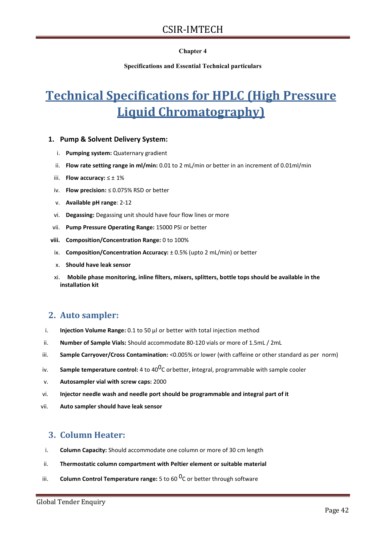# Chapter 4

# Specifications and Essential Technical particulars

# Technical Specifications for HPLC (High Pressure Liquid Chromatography)

# 1. Pump & Solvent Delivery System:

- i. Pumping system: Quaternary gradient
- ii. Flow rate setting range in ml/min: 0.01 to 2 mL/min or better in an increment of 0.01ml/min
- iii. Flow accuracy:  $\leq \pm 1\%$
- iv. Flow precision: ≤ 0.075% RSD or better
- v. Available pH range: 2-12
- vi. Degassing: Degassing unit should have four flow lines or more
- vii. Pump Pressure Operating Range: 15000 PSI or better
- viii. Composition/Concentration Range: 0 to 100%
	- ix. **Composition/Concentration Accuracy:**  $\pm$  0.5% (upto 2 mL/min) or better
	- x. Should have leak sensor
- xi. Mobile phase monitoring, inline filters, mixers, splitters, bottle tops should be available in the installation kit

# 2. Auto sampler:

- i. Injection Volume Range: 0.1 to 50 µl or better with total injection method
- ii. Number of Sample Vials: Should accommodate 80-120 vials or more of 1.5mL / 2mL
- iii. Sample Carryover/Cross Contamination: < 0.005% or lower (with caffeine or other standard as per norm)
- iv. Sample temperature control: 4 to 40<sup>0</sup>C or better, integral, programmable with sample cooler
- v. Autosampler vial with screw caps: 2000
- vi. Injector needle wash and needle port should be programmable and integral part of it
- vii. Auto sampler should have leak sensor

# 3. Column Heater:

- i. Column Capacity: Should accommodate one column or more of 30 cm length
- ii. Thermostatic column compartment with Peltier element or suitable material
- iii. Column Control Temperature range: 5 to 60  $^{0}$ C or better through software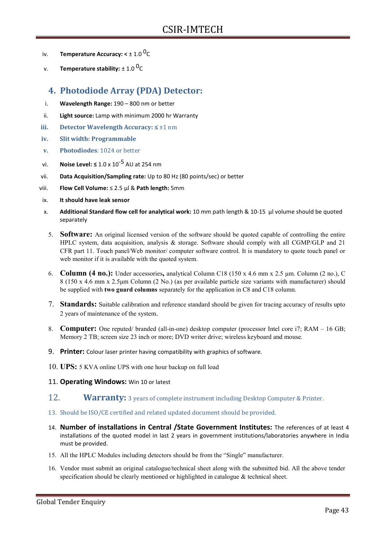- iv. Temperature Accuracy:  $< \pm 1.0$ <sup>O</sup>C
- v. Temperature stability:  $\pm 1.0$  <sup>O</sup>C

# 4. Photodiode Array (PDA) Detector:

- i. Wavelength Range: 190 800 nm or better
- ii. Light source: Lamp with minimum 2000 hr Warranty
- iii. Detector Wavelength Accuracy: ≤  $±1$  nm
- iv. Slit width: Programmable
- v. Photodiodes: 1024 or better
- vi. Noise Level: ≤  $1.0 \times 10^{-5}$  AU at 254 nm
- vii. Data Acquisition/Sampling rate: Up to 80 Hz (80 points/sec) or better
- viii. Flow Cell Volume: ≤ 2.5 μl & Path length: 5mm
- ix. It should have leak sensor
- x. Additional Standard flow cell for analytical work: 10 mm path length & 10-15 μl volume should be quoted separately
	- 5. Software: An original licensed version of the software should be quoted capable of controlling the entire HPLC system, data acquisition, analysis & storage. Software should comply with all CGMP/GLP and 21 CFR part 11. Touch panel/Web monitor/ computer software control. It is mandatory to quote touch panel or web monitor if it is available with the quoted system.
	- 6. Column (4 no.): Under accessories, analytical Column C18 (150 x 4.6 mm x 2.5 μm. Column (2 no.), C 8 (150 x 4.6 mm x 2.5μm Column (2 No.) (as per available particle size variants with manufacturer) should be supplied with two guard columns separately for the application in C8 and C18 column.
	- 7. Standards: Suitable calibration and reference standard should be given for tracing accuracy of results upto 2 years of maintenance of the system.
	- 8. **Computer:** One reputed/ branded (all-in-one) desktop computer (processor Intel core i7; RAM 16 GB; Memory 2 TB; screen size 23 inch or more; DVD writer drive; wireless keyboard and mouse.
	- 9. Printer: Colour laser printer having compatibility with graphics of software.
	- 10. UPS: 5 KVA online UPS with one hour backup on full load
	- 11. Operating Windows: Win 10 or latest
	- 12. Warranty: 3 years of complete instrument including Desktop Computer & Printer.
	- 13. Should be ISO/CE certified and related updated document should be provided.
	- 14. Number of installations in Central /State Government Institutes: The references of at least 4 installations of the quoted model in last 2 years in government institutions/laboratories anywhere in India must be provided.
	- 15. All the HPLC Modules including detectors should be from the "Single" manufacturer.
	- 16. Vendor must submit an original catalogue/technical sheet along with the submitted bid. All the above tender specification should be clearly mentioned or highlighted in catalogue & technical sheet.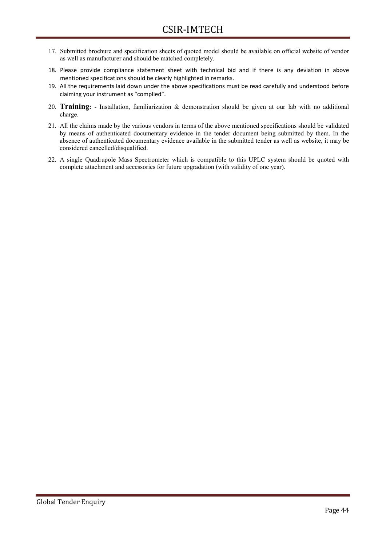- 17. Submitted brochure and specification sheets of quoted model should be available on official website of vendor as well as manufacturer and should be matched completely.
- 18. Please provide compliance statement sheet with technical bid and if there is any deviation in above mentioned specifications should be clearly highlighted in remarks.
- 19. All the requirements laid down under the above specifications must be read carefully and understood before claiming your instrument as "complied".
- 20. **Training:** Installation, familiarization & demonstration should be given at our lab with no additional charge.
- 21. All the claims made by the various vendors in terms of the above mentioned specifications should be validated by means of authenticated documentary evidence in the tender document being submitted by them. In the absence of authenticated documentary evidence available in the submitted tender as well as website, it may be considered cancelled/disqualified.
- 22. A single Quadrupole Mass Spectrometer which is compatible to this UPLC system should be quoted with complete attachment and accessories for future upgradation (with validity of one year).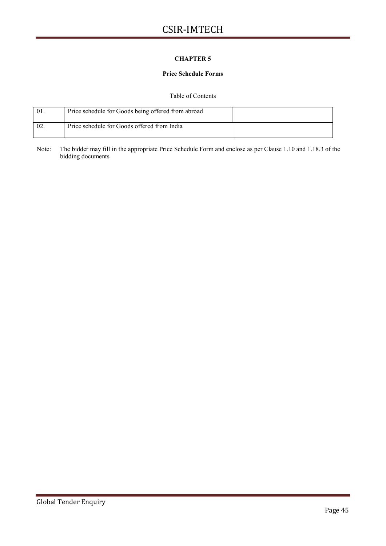# CHAPTER 5

#### Price Schedule Forms

Table of Contents

|      | Price schedule for Goods being offered from abroad |  |
|------|----------------------------------------------------|--|
| -02. | Price schedule for Goods offered from India        |  |

Note: The bidder may fill in the appropriate Price Schedule Form and enclose as per Clause 1.10 and 1.18.3 of the bidding documents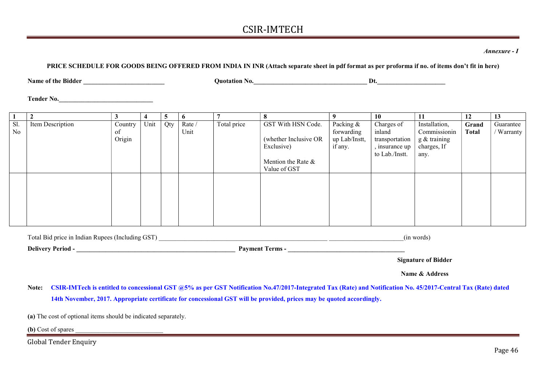Annexure - I

PRICE SCHEDULE FOR GOODS BEING OFFERED FROM INDIA IN INR (Attach separate sheet in pdf format as per proforma if no. of items don't fit in here)

Name of the Bidder \_\_\_\_\_\_\_\_\_\_\_\_\_\_\_\_\_\_\_\_\_\_\_\_\_ Quotation No.\_\_\_\_\_\_\_\_\_\_\_\_\_\_\_\_\_\_\_\_\_\_\_\_\_\_\_\_\_\_\_\_\_\_\_ Dt.\_\_\_\_\_\_\_\_\_\_\_\_\_\_\_\_\_\_\_\_\_

Tender No.\_\_\_\_\_\_\_\_\_\_\_\_\_\_\_\_\_\_\_\_\_\_\_\_\_\_\_\_\_

|     |                  |         |      | $\mathcal{D}$ |        |             |                       | $\mathbf{o}$  | 10             | 11            | 12           | 13        |
|-----|------------------|---------|------|---------------|--------|-------------|-----------------------|---------------|----------------|---------------|--------------|-----------|
| Sl. | Item Description | Country | Unit | Qty           | Rate / | Total price | GST With HSN Code.    | Packing &     | Charges of     | Installation, | Grand        | Guarantee |
| No  |                  | of      |      |               | Unit   |             |                       | forwarding    | inland         | Commissionin  | <b>Total</b> | Warranty  |
|     |                  | Origin  |      |               |        |             | (whether Inclusive OR | up Lab/Instt, | transportation | g & training  |              |           |
|     |                  |         |      |               |        |             | Exclusive)            | if any.       | , insurance up | charges, If   |              |           |
|     |                  |         |      |               |        |             |                       |               | to Lab./Instt. | any.          |              |           |
|     |                  |         |      |               |        |             | Mention the Rate &    |               |                |               |              |           |
|     |                  |         |      |               |        |             | Value of GST          |               |                |               |              |           |
|     |                  |         |      |               |        |             |                       |               |                |               |              |           |
|     |                  |         |      |               |        |             |                       |               |                |               |              |           |
|     |                  |         |      |               |        |             |                       |               |                |               |              |           |
|     |                  |         |      |               |        |             |                       |               |                |               |              |           |
|     |                  |         |      |               |        |             |                       |               |                |               |              |           |
|     |                  |         |      |               |        |             |                       |               |                |               |              |           |
|     |                  |         |      |               |        |             |                       |               |                |               |              |           |

| $\sim$<br>GST<br>1n<br>s (Including)<br>l otal<br>-Indian<br>. Rupees<br>nrice<br>151 C | ΩC<br>W |
|-----------------------------------------------------------------------------------------|---------|
|-----------------------------------------------------------------------------------------|---------|

Delivery Period - \_\_\_\_\_\_\_\_\_\_\_\_\_\_\_\_\_\_\_\_\_\_\_\_\_\_\_\_\_\_\_\_\_\_\_\_\_\_\_\_\_\_\_\_\_\_\_\_\_ Payment Terms - \_\_\_\_\_\_\_\_\_\_\_\_\_\_\_\_\_\_\_\_\_\_\_\_\_\_\_\_\_\_\_\_\_\_\_\_

Signature of Bidder

Name & Address

Note: CSIR-IMTech is entitled to concessional GST @5% as per GST Notification No.47/2017-Integrated Tax (Rate) and Notification No. 45/2017-Central Tax (Rate) dated 14th November, 2017. Appropriate certificate for concessional GST will be provided, prices may be quoted accordingly.

(a) The cost of optional items should be indicated separately.

(b) Cost of spares

Global Tender Enquiry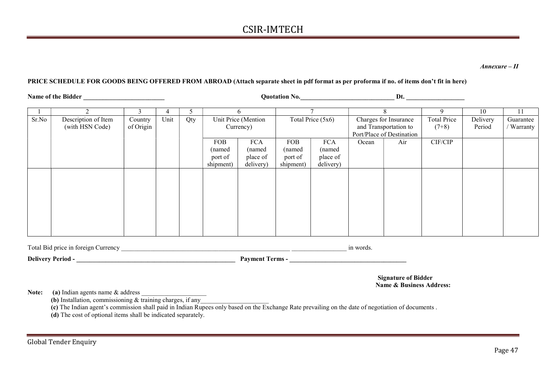Annexure – II

#### PRICE SCHEDULE FOR GOODS BEING OFFERED FROM ABROAD (Attach separate sheet in pdf format as per proforma if no. of items don't fit in here)

| $\blacksquare$<br>m.<br>-Bidde<br>Name<br>r n<br>. | Ouotation<br>- 1NO. | D1 |
|----------------------------------------------------|---------------------|----|
|                                                    |                     |    |

|       |                     | 3         | 4    |     |            |                     |            |                     |       | $\Omega$                  | $\mathbf Q$        | 10       | 11        |
|-------|---------------------|-----------|------|-----|------------|---------------------|------------|---------------------|-------|---------------------------|--------------------|----------|-----------|
| Sr.No | Description of Item | Country   | Unit | Qty |            | Unit Price (Mention |            | Total Price $(5x6)$ |       | Charges for Insurance     | <b>Total Price</b> | Delivery | Guarantee |
|       | (with HSN Code)     | of Origin |      |     |            | Currency)           |            |                     |       | and Transportation to     | $(7+8)$            | Period   | Warranty  |
|       |                     |           |      |     |            |                     |            |                     |       | Port/Place of Destination |                    |          |           |
|       |                     |           |      |     | <b>FOB</b> | <b>FCA</b>          | <b>FOB</b> | <b>FCA</b>          | Ocean | Air                       | CIF/CIP            |          |           |
|       |                     |           |      |     | (named     | (named)             | (named     | (named              |       |                           |                    |          |           |
|       |                     |           |      |     | port of    | place of            | port of    | place of            |       |                           |                    |          |           |
|       |                     |           |      |     | shipment)  | delivery)           | shipment)  | delivery)           |       |                           |                    |          |           |
|       |                     |           |      |     |            |                     |            |                     |       |                           |                    |          |           |
|       |                     |           |      |     |            |                     |            |                     |       |                           |                    |          |           |
|       |                     |           |      |     |            |                     |            |                     |       |                           |                    |          |           |
|       |                     |           |      |     |            |                     |            |                     |       |                           |                    |          |           |
|       |                     |           |      |     |            |                     |            |                     |       |                           |                    |          |           |
|       |                     |           |      |     |            |                     |            |                     |       |                           |                    |          |           |
|       |                     |           |      |     |            |                     |            |                     |       |                           |                    |          |           |
|       |                     |           |      |     |            |                     |            |                     |       |                           |                    |          |           |
|       |                     |           |      |     |            |                     |            |                     |       |                           |                    |          |           |

| Total Bid price in foreign Currency |                     | words. |
|-------------------------------------|---------------------|--------|
| <b>Delivery Period -</b>            | 1 erms -<br>Pavment |        |

Signature of Bidder Name & Business Address:

Note: (a) Indian agents name & address

(b) Installation, commissioning  $&$  training charges, if any

(c) The Indian agent's commission shall paid in Indian Rupees only based on the Exchange Rate prevailing on the date of negotiation of documents .

(d) The cost of optional items shall be indicated separately.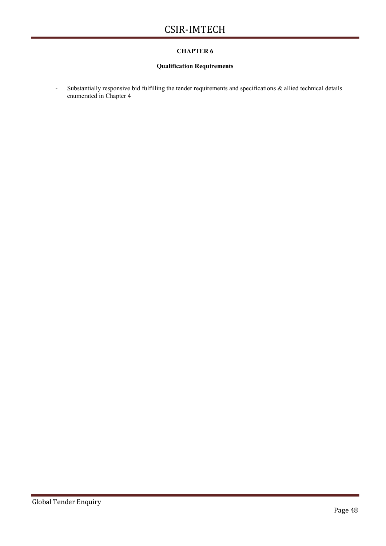# CHAPTER 6

# Qualification Requirements

- Substantially responsive bid fulfilling the tender requirements and specifications & allied technical details enumerated in Chapter 4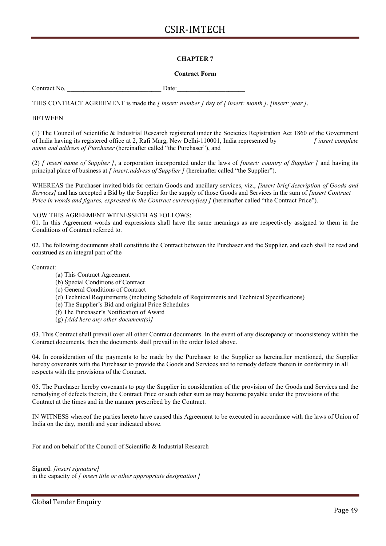# CHAPTER 7

#### Contract Form

Contract No.  $\Box$ 

THIS CONTRACT AGREEMENT is made the [insert: number ] day of [insert: month ], [insert: year ].

#### **BETWEEN**

(1) The Council of Scientific & Industrial Research registered under the Societies Registration Act 1860 of the Government of India having its registered office at 2, Rafi Marg, New Delhi-110001, India represented by *[insert complete* name and address of Purchaser (hereinafter called "the Purchaser"), and

(2)  $\int$  insert name of Supplier  $\int$ , a corporation incorporated under the laws of  $\int$ insert: country of Supplier  $\int$  and having its principal place of business at *[ insert: address of Supplier ]* (hereinafter called "the Supplier").

WHEREAS the Purchaser invited bids for certain Goods and ancillary services, viz., [insert brief description of Goods and Services] and has accepted a Bid by the Supplier for the supply of those Goods and Services in the sum of *[insert Contract*] Price in words and figures, expressed in the Contract currency(ies) *I* (hereinafter called "the Contract Price").

#### NOW THIS AGREEMENT WITNESSETH AS FOLLOWS:

01. In this Agreement words and expressions shall have the same meanings as are respectively assigned to them in the Conditions of Contract referred to.

02. The following documents shall constitute the Contract between the Purchaser and the Supplier, and each shall be read and construed as an integral part of the

Contract:

- (a) This Contract Agreement
- (b) Special Conditions of Contract
- (c) General Conditions of Contract
- (d) Technical Requirements (including Schedule of Requirements and Technical Specifications)
- (e) The Supplier's Bid and original Price Schedules
- (f) The Purchaser's Notification of Award
- (g) [Add here any other document(s)]

03. This Contract shall prevail over all other Contract documents. In the event of any discrepancy or inconsistency within the Contract documents, then the documents shall prevail in the order listed above.

04. In consideration of the payments to be made by the Purchaser to the Supplier as hereinafter mentioned, the Supplier hereby covenants with the Purchaser to provide the Goods and Services and to remedy defects therein in conformity in all respects with the provisions of the Contract.

05. The Purchaser hereby covenants to pay the Supplier in consideration of the provision of the Goods and Services and the remedying of defects therein, the Contract Price or such other sum as may become payable under the provisions of the Contract at the times and in the manner prescribed by the Contract.

IN WITNESS whereof the parties hereto have caused this Agreement to be executed in accordance with the laws of Union of India on the day, month and year indicated above.

For and on behalf of the Council of Scientific & Industrial Research

Signed: [insert signature] in the capacity of  $\int$  insert title or other appropriate designation  $\int$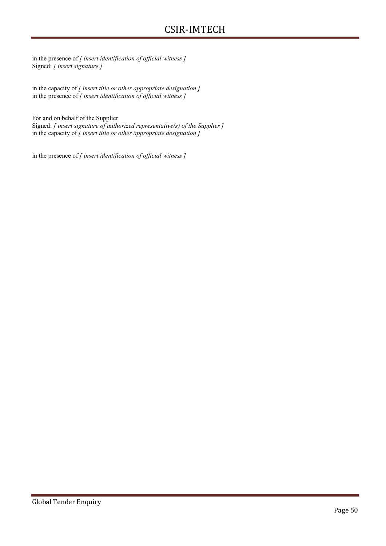in the presence of  $\int$  insert identification of official witness  $\int$ Signed: [ insert signature ]

in the capacity of  $\int$  insert title or other appropriate designation  $\int$ in the presence of  $\int$  insert identification of official witness  $\int$ 

For and on behalf of the Supplier Signed: [ insert signature of authorized representative(s) of the Supplier ] in the capacity of  $\int$  insert title or other appropriate designation  $\int$ 

in the presence of  $\int$  insert identification of official witness  $\int$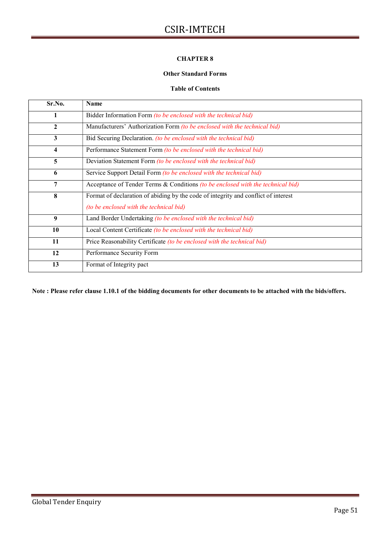# CHAPTER 8

### Other Standard Forms

### Table of Contents

| Sr.No.       | Name                                                                               |
|--------------|------------------------------------------------------------------------------------|
| 1            | Bidder Information Form <i>(to be enclosed with the technical bid)</i>             |
| $\mathbf{2}$ | Manufacturers' Authorization Form (to be enclosed with the technical bid)          |
| 3            | Bid Securing Declaration. (to be enclosed with the technical bid)                  |
| 4            | Performance Statement Form (to be enclosed with the technical bid)                 |
| 5            | Deviation Statement Form (to be enclosed with the technical bid)                   |
| 6            | Service Support Detail Form <i>(to be enclosed with the technical bid)</i>         |
| 7            | Acceptance of Tender Terms & Conditions (to be enclosed with the technical bid)    |
| 8            | Format of declaration of abiding by the code of integrity and conflict of interest |
|              | (to be enclosed with the technical bid)                                            |
| 9            | Land Border Undertaking (to be enclosed with the technical bid)                    |
| 10           | Local Content Certificate (to be enclosed with the technical bid)                  |
| 11           | Price Reasonability Certificate (to be enclosed with the technical bid)            |
| 12           | Performance Security Form                                                          |
| 13           | Format of Integrity pact                                                           |

Note : Please refer clause 1.10.1 of the bidding documents for other documents to be attached with the bids/offers.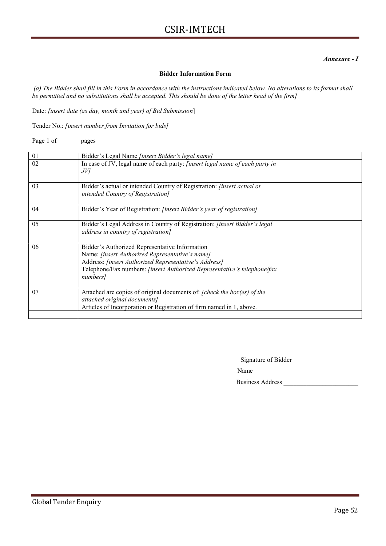Annexure - I

#### Bidder Information Form

 (a) The Bidder shall fill in this Form in accordance with the instructions indicated below. No alterations to its format shall be permitted and no substitutions shall be accepted. This should be done of the letter head of the firm]

Date: [insert date (as day, month and year) of Bid Submission]

Tender No.: [insert number from Invitation for bids]

Page 1 of\_\_\_\_\_\_ pages

| 01 | Bidder's Legal Name [insert Bidder's legal name]                                                                                                                                                                                                   |
|----|----------------------------------------------------------------------------------------------------------------------------------------------------------------------------------------------------------------------------------------------------|
| 02 | In case of JV, legal name of each party: <i>[insert legal name of each party in</i><br>JV                                                                                                                                                          |
| 03 | Bidder's actual or intended Country of Registration: <i>[insert actual or</i> ]<br>intended Country of Registration]                                                                                                                               |
| 04 | Bidder's Year of Registration: <i>[insert Bidder's year of registration]</i>                                                                                                                                                                       |
| 05 | Bidder's Legal Address in Country of Registration: [insert Bidder's legal<br>address in country of registration]                                                                                                                                   |
| 06 | Bidder's Authorized Representative Information<br>Name: [insert Authorized Representative's name]<br>Address: [insert Authorized Representative's Address]<br>Telephone/Fax numbers: [insert Authorized Representative's telephone/fax<br>numbers] |
| 07 | Attached are copies of original documents of: [check the box(es) of the<br>attached original documents]<br>Articles of Incorporation or Registration of firm named in 1, above.                                                                    |

| Signature of Bidder |  |
|---------------------|--|
| Name                |  |

Business Address \_\_\_\_\_\_\_\_\_\_\_\_\_\_\_\_\_\_\_\_\_\_\_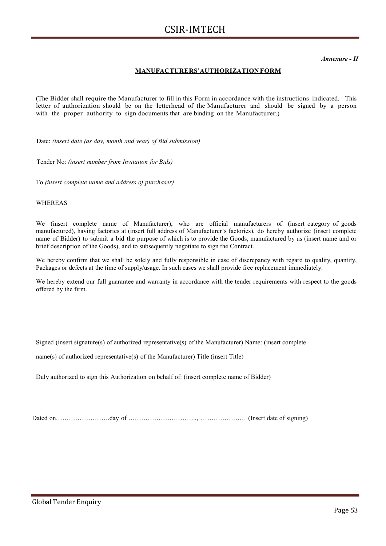Annexure - II

# MANUFACTURERS' AUTHORIZATION FORM

(The Bidder shall require the Manufacturer to fill in this Form in accordance with the instructions indicated. This letter of authorization should be on the letterhead of the Manufacturer and should be signed by a person with the proper authority to sign documents that are binding on the Manufacturer.)

Date: (insert date (as day, month and year) of Bid submission)

Tender No: (insert number from Invitation for Bids)

To (insert complete name and address of purchaser)

WHEREAS

We (insert complete name of Manufacturer), who are official manufacturers of (insert category of goods manufactured), having factories at (insert full address of Manufacturer's factories), do hereby authorize (insert complete name of Bidder) to submit a bid the purpose of which is to provide the Goods, manufactured by us (insert name and or brief description of the Goods), and to subsequently negotiate to sign the Contract.

We hereby confirm that we shall be solely and fully responsible in case of discrepancy with regard to quality, quantity, Packages or defects at the time of supply/usage. In such cases we shall provide free replacement immediately.

We hereby extend our full guarantee and warranty in accordance with the tender requirements with respect to the goods offered by the firm.

Signed (insert signature(s) of authorized representative(s) of the Manufacturer) Name: (insert complete

name(s) of authorized representative(s) of the Manufacturer) Title (insert Title)

Duly authorized to sign this Authorization on behalf of: (insert complete name of Bidder)

Dated on…………………….day of ………………………….., ………………… (Insert date of signing)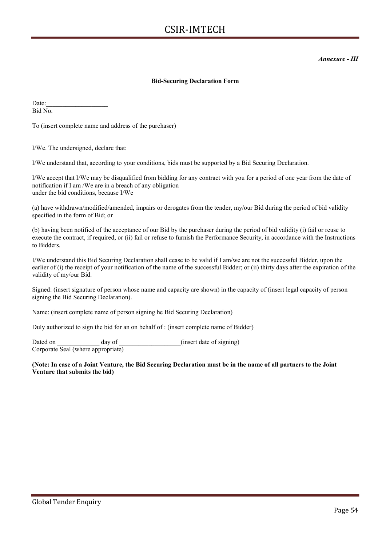Annexure - III

#### Bid-Securing Declaration Form

Date: Bid No.

To (insert complete name and address of the purchaser)

I/We. The undersigned, declare that:

I/We understand that, according to your conditions, bids must be supported by a Bid Securing Declaration.

I/We accept that I/We may be disqualified from bidding for any contract with you for a period of one year from the date of notification if I am /We are in a breach of any obligation under the bid conditions, because I/We

(a) have withdrawn/modified/amended, impairs or derogates from the tender, my/our Bid during the period of bid validity specified in the form of Bid; or

(b) having been notified of the acceptance of our Bid by the purchaser during the period of bid validity (i) fail or reuse to execute the contract, if required, or (ii) fail or refuse to furnish the Performance Security, in accordance with the Instructions to Bidders.

I/We understand this Bid Securing Declaration shall cease to be valid if I am/we are not the successful Bidder, upon the earlier of (i) the receipt of your notification of the name of the successful Bidder; or (ii) thirty days after the expiration of the validity of my/our Bid.

Signed: (insert signature of person whose name and capacity are shown) in the capacity of (insert legal capacity of person signing the Bid Securing Declaration).

Name: (insert complete name of person signing he Bid Securing Declaration)

Duly authorized to sign the bid for an on behalf of : (insert complete name of Bidder)

Dated on day of contains the contact of signing) Corporate Seal (where appropriate)

(Note: In case of a Joint Venture, the Bid Securing Declaration must be in the name of all partners to the Joint Venture that submits the bid)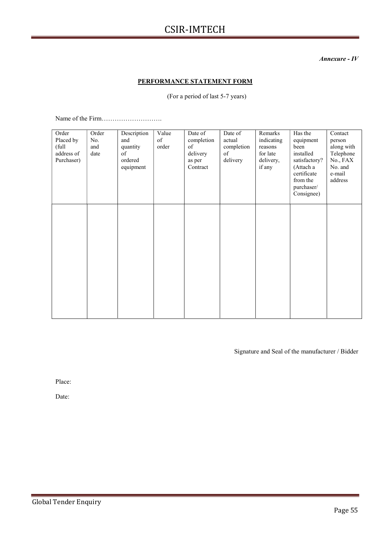Annexure - IV

# PERFORMANCE STATEMENT FORM

# (For a period of last 5-7 years)

Name of the Firm……………………….

| Order<br>Placed by<br>(full<br>address of<br>Purchaser) | Order<br>No.<br>and<br>date | Description<br>and<br>quantity<br>of<br>ordered<br>equipment | Value<br>of<br>order | Date of<br>completion<br>of<br>delivery<br>as per<br>Contract | Date of<br>actual<br>completion<br>of<br>delivery | Remarks<br>indicating<br>reasons<br>for late<br>delivery,<br>if any | Has the<br>equipment<br>been<br>installed<br>satisfactory?<br>(Attach a<br>certificate<br>from the<br>purchaser/<br>Consignee) | Contact<br>person<br>along with<br>Telephone<br>No., FAX<br>No. and<br>e-mail<br>address |
|---------------------------------------------------------|-----------------------------|--------------------------------------------------------------|----------------------|---------------------------------------------------------------|---------------------------------------------------|---------------------------------------------------------------------|--------------------------------------------------------------------------------------------------------------------------------|------------------------------------------------------------------------------------------|
|                                                         |                             |                                                              |                      |                                                               |                                                   |                                                                     |                                                                                                                                |                                                                                          |

Signature and Seal of the manufacturer / Bidder

Place:

Date: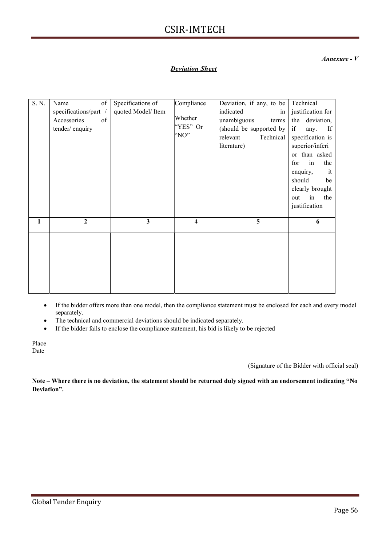Annexure - V

# Deviation Sheet

| S. N.        | $\mathrm{of}$<br>Name | Specifications of | Compliance | Deviation, if any, to be | Technical         |
|--------------|-----------------------|-------------------|------------|--------------------------|-------------------|
|              | specifications/part / | quoted Model/Item |            | indicated<br>in          | justification for |
|              | Accessories<br>of     |                   | Whether    | unambiguous<br>terms     | deviation,<br>the |
|              | tender/enquiry        |                   | "YES" Or   | (should be supported by  | if<br>If<br>any.  |
|              |                       |                   | "NO"       | Technical<br>relevant    | specification is  |
|              |                       |                   |            | literature)              | superior/inferi   |
|              |                       |                   |            |                          | or than asked     |
|              |                       |                   |            |                          | for<br>in<br>the  |
|              |                       |                   |            |                          | enquiry,<br>it    |
|              |                       |                   |            |                          | should<br>be      |
|              |                       |                   |            |                          | clearly brought   |
|              |                       |                   |            |                          | in<br>the<br>out  |
|              |                       |                   |            |                          | justification     |
|              |                       |                   |            |                          |                   |
| $\mathbf{1}$ | $\overline{2}$        | 3                 | 4          | 5                        | 6                 |
|              |                       |                   |            |                          |                   |
|              |                       |                   |            |                          |                   |
|              |                       |                   |            |                          |                   |
|              |                       |                   |            |                          |                   |
|              |                       |                   |            |                          |                   |
|              |                       |                   |            |                          |                   |
|              |                       |                   |            |                          |                   |
|              |                       |                   |            |                          |                   |

- If the bidder offers more than one model, then the compliance statement must be enclosed for each and every model separately.
- The technical and commercial deviations should be indicated separately.
- If the bidder fails to enclose the compliance statement, his bid is likely to be rejected

Place Date

(Signature of the Bidder with official seal)

Note – Where there is no deviation, the statement should be returned duly signed with an endorsement indicating "No Deviation".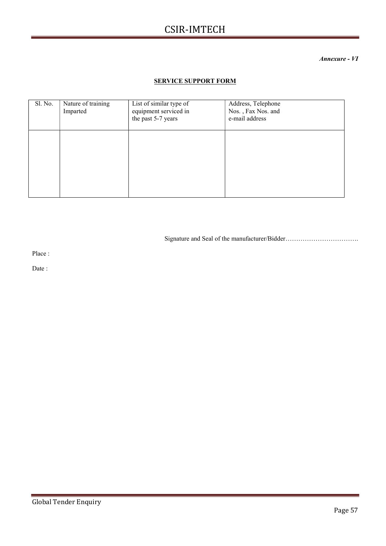Annexure - VI

# **SERVICE SUPPORT FORM**

| Sl. No. | Nature of training<br>Imparted | List of similar type of<br>equipment serviced in<br>the past 5-7 years | Address, Telephone<br>Nos., Fax Nos. and<br>e-mail address |
|---------|--------------------------------|------------------------------------------------------------------------|------------------------------------------------------------|
|         |                                |                                                                        |                                                            |
|         |                                |                                                                        |                                                            |

Signature and Seal of the manufacturer/Bidder…………………………….

Place :

Date :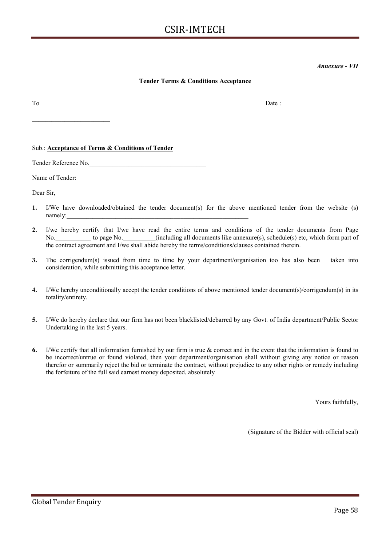### Annexure - VII

#### Tender Terms & Conditions Acceptance

To Date :

Sub.: Acceptance of Terms & Conditions of Tender

Tender Reference No.

 $\mathcal{L}=\{1,2,3,4,5\}$ 

Name of Tender:

Dear Sir,

- 1. I/We have downloaded/obtained the tender document(s) for the above mentioned tender from the website (s) namely:
- 2. I/we hereby certify that I/we have read the entire terms and conditions of the tender documents from Page No.  $\qquad \qquad$  to page No. (including all documents like annexure(s), schedule(s) etc, which form part of the contract agreement and I/we shall abide hereby the terms/conditions/clauses contained therein.
- 3. The corrigendum(s) issued from time to time by your department/organisation too has also been taken into consideration, while submitting this acceptance letter.
- 4. I/We hereby unconditionally accept the tender conditions of above mentioned tender document(s)/corrigendum(s) in its totality/entirety.
- 5. I/We do hereby declare that our firm has not been blacklisted/debarred by any Govt. of India department/Public Sector Undertaking in the last 5 years.
- 6. I/We certify that all information furnished by our firm is true & correct and in the event that the information is found to be incorrect/untrue or found violated, then your department/organisation shall without giving any notice or reason therefor or summarily reject the bid or terminate the contract, without prejudice to any other rights or remedy including the forfeiture of the full said earnest money deposited, absolutely

Yours faithfully,

(Signature of the Bidder with official seal)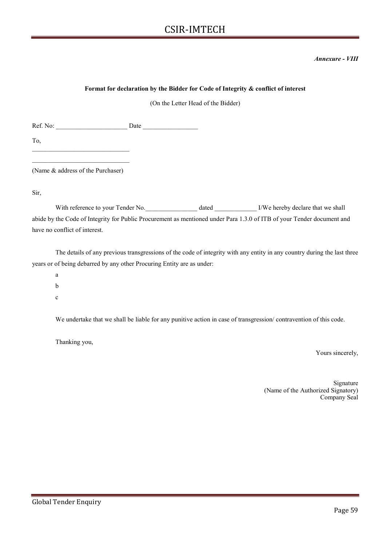Annexure - VIII

# Format for declaration by the Bidder for Code of Integrity & conflict of interest

(On the Letter Head of the Bidder)

Ref. No: \_\_\_\_\_\_\_\_\_\_\_\_\_\_\_\_\_\_\_\_\_\_ Date \_\_\_\_\_\_\_\_\_\_\_\_\_\_\_\_\_

To,

\_\_\_\_\_\_\_\_\_\_\_\_\_\_\_\_\_\_\_\_\_\_\_\_\_\_\_\_\_\_ (Name & address of the Purchaser)

\_\_\_\_\_\_\_\_\_\_\_\_\_\_\_\_\_\_\_\_\_\_\_\_\_\_\_\_\_\_

Sir,

With reference to your Tender No. \_\_\_\_\_\_\_\_\_\_\_\_\_\_\_\_\_\_\_\_ dated \_\_\_\_\_\_\_\_\_\_\_\_\_\_\_\_ I/We hereby declare that we shall abide by the Code of Integrity for Public Procurement as mentioned under Para 1.3.0 of ITB of your Tender document and have no conflict of interest.

The details of any previous transgressions of the code of integrity with any entity in any country during the last three years or of being debarred by any other Procuring Entity are as under:

- a
- b
- c

We undertake that we shall be liable for any punitive action in case of transgression/ contravention of this code.

Thanking you,

Yours sincerely,

Signature (Name of the Authorized Signatory) Company Seal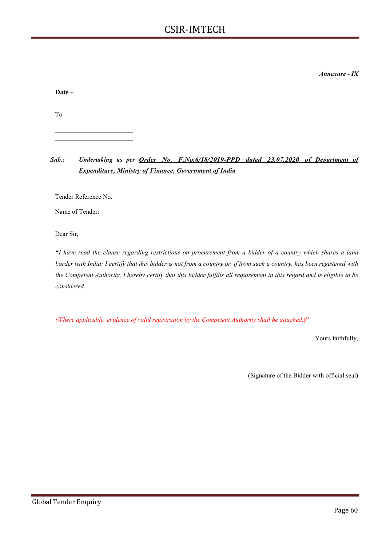Annexure - IX

| $\bf{Date}$ – |  |                                                         |  |
|---------------|--|---------------------------------------------------------|--|
|               |  |                                                         |  |
| To            |  |                                                         |  |
|               |  |                                                         |  |
|               |  |                                                         |  |
|               |  |                                                         |  |
|               |  | 'ub : Indertaking as per Order No F No 6/18/2019-PPD da |  |

# Sub.: Undertaking as per Order No. F.No.6/18/2019-PPD dated 23.07.2020 of Department of Expenditure, Ministry of Finance, Government of India

Tender Reference No.\_\_\_\_\_\_\_\_\_\_\_\_\_\_\_\_\_\_\_\_\_\_\_\_\_\_\_\_\_\_\_\_\_\_\_\_\_\_\_\_\_\_

Name of Tender:

Dear Sir,

"I have read the clause regarding restrictions on procurement from a bidder of a country which shares a land border with India; I certify that this bidder is not from a country or, if from such a country, has been registered with the Competent Authority, I hereby certify that this bidder fulfills all requirement in this regard and is eligible to be considered.

(Where applicable, evidence of valid registration by the Competent Authority shall be attached.)"

Yours faithfully,

(Signature of the Bidder with official seal)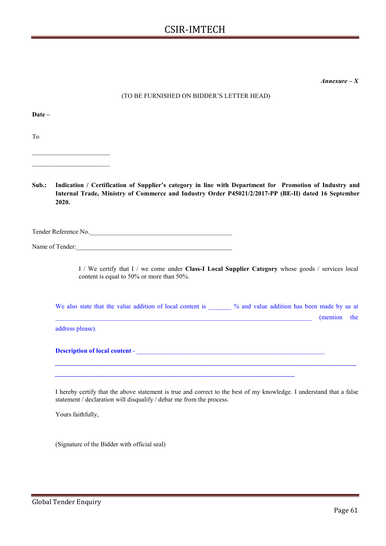Annexure  $-X$ 

#### (TO BE FURNISHED ON BIDDER'S LETTER HEAD)

Date –

To

Sub.: Indication / Certification of Supplier's category in line with Department for Promotion of Industry and Internal Trade, Ministry of Commerce and Industry Order P45021/2/2017-PP (BE-II) dated 16 September 2020.

Tender Reference No.

Name of Tender:

I / We certify that I / we come under Class-I Local Supplier Category whose goods / services local content is equal to 50% or more than 50%.

| We also state that the value addition of local content is<br>% and value addition has been made by us at |              |  |
|----------------------------------------------------------------------------------------------------------|--------------|--|
|                                                                                                          | (mention the |  |
| address please).                                                                                         |              |  |
| <b>Description of local content -</b>                                                                    |              |  |

I hereby certify that the above statement is true and correct to the best of my knowledge. I understand that a false statement / declaration will disqualify / debar me from the process.

Yours faithfully,

(Signature of the Bidder with official seal)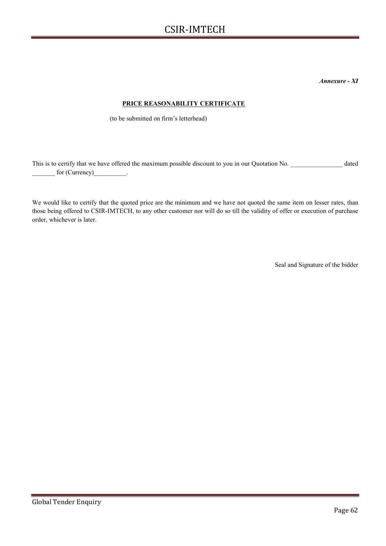Annexure - XI

# PRICE REASONABILITY CERTIFICATE

(to be submitted on firm's letterhead)

This is to certify that we have offered the maximum possible discount to you in our Quotation No. \_\_\_\_\_\_\_\_\_\_\_\_\_\_ dated for (Currency) example.

We would like to certify that the quoted price are the minimum and we have not quoted the same item on lesser rates, than those being offered to CSIR-IMTECH, to any other customer nor will do so till the validity of offer or execution of purchase order, whichever is later.

Seal and Signature of the bidder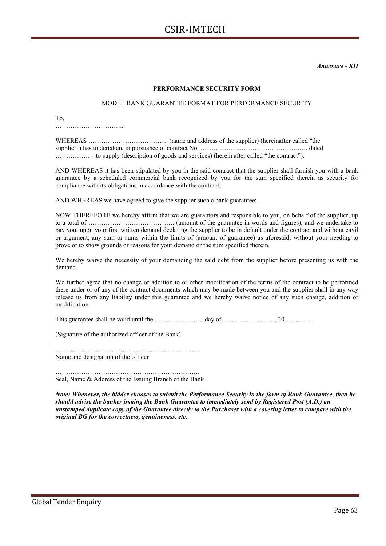Annexure - XII

#### PERFORMANCE SECURITY FORM

#### MODEL BANK GUARANTEE FORMAT FOR PERFORMANCE SECURITY

To,

…………………………..

WHEREAS ………………………………. (name and address of the supplier) (hereinafter called "the supplier") has undertaken, in pursuance of contract No. ……………………………………….…. dated ……………….to supply (description of goods and services) (herein after called "the contract").

AND WHEREAS it has been stipulated by you in the said contract that the supplier shall furnish you with a bank guarantee by a scheduled commercial bank recognized by you for the sum specified therein as security for compliance with its obligations in accordance with the contract;

AND WHEREAS we have agreed to give the supplier such a bank guarantee;

NOW THEREFORE we hereby affirm that we are guarantors and responsible to you, on behalf of the supplier, up to a total of …………………………………. (amount of the guarantee in words and figures), and we undertake to pay you, upon your first written demand declaring the supplier to be in default under the contract and without cavil or argument, any sum or sums within the limits of (amount of guarantee) as aforesaid, without your needing to prove or to show grounds or reasons for your demand or the sum specified therein.

We hereby waive the necessity of your demanding the said debt from the supplier before presenting us with the demand.

We further agree that no change or addition to or other modification of the terms of the contract to be performed there under or of any of the contract documents which may be made between you and the supplier shall in any way release us from any liability under this guarantee and we hereby waive notice of any such change, addition or modification.

This guarantee shall be valid until the ………………….. day of ……………………, 20…………..

(Signature of the authorized officer of the Bank)

…………………………………………………………. Name and designation of the officer

…………………………………………………………. Seal, Name & Address of the Issuing Branch of the Bank

Note: Whenever, the bidder chooses to submit the Performance Security in the form of Bank Guarantee, then he should advise the banker issuing the Bank Guarantee to immediately send by Registered Post (A.D.) an unstamped duplicate copy of the Guarantee directly to the Purchaser with a covering letter to compare with the original BG for the correctness, genuineness, etc.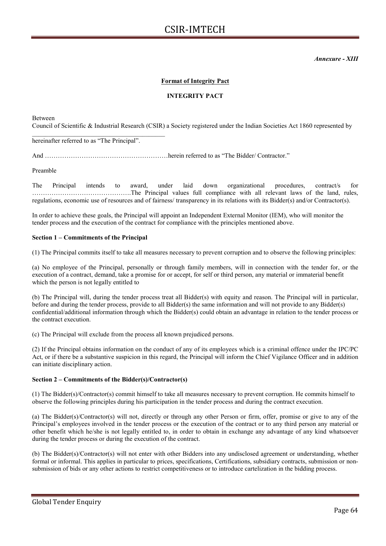Annexure - XIII

#### Format of Integrity Pact

#### INTEGRITY PACT

Between

Council of Scientific & Industrial Research (CSIR) a Society registered under the Indian Societies Act 1860 represented by

hereinafter referred to as "The Principal".

\_\_\_\_\_\_\_\_\_\_\_\_\_\_\_\_\_\_\_\_\_\_\_\_\_\_\_\_\_\_\_\_\_\_\_\_\_\_\_\_\_

And …………………………………………………herein referred to as "The Bidder/ Contractor."

Preamble

The Principal intends to award, under laid down organizational procedures, contract/s for ……………………………………….The Principal values full compliance with all relevant laws of the land, rules, regulations, economic use of resources and of fairness/ transparency in its relations with its Bidder(s) and/or Contractor(s).

In order to achieve these goals, the Principal will appoint an Independent External Monitor (IEM), who will monitor the tender process and the execution of the contract for compliance with the principles mentioned above.

#### Section 1 – Commitments of the Principal

(1) The Principal commits itself to take all measures necessary to prevent corruption and to observe the following principles:

(a) No employee of the Principal, personally or through family members, will in connection with the tender for, or the execution of a contract, demand, take a promise for or accept, for self or third person, any material or immaterial benefit which the person is not legally entitled to

(b) The Principal will, during the tender process treat all Bidder(s) with equity and reason. The Principal will in particular, before and during the tender process, provide to all Bidder(s) the same information and will not provide to any Bidder(s) confidential/additional information through which the Bidder(s) could obtain an advantage in relation to the tender process or the contract execution.

(c) The Principal will exclude from the process all known prejudiced persons.

(2) If the Principal obtains information on the conduct of any of its employees which is a criminal offence under the IPC/PC Act, or if there be a substantive suspicion in this regard, the Principal will inform the Chief Vigilance Officer and in addition can initiate disciplinary action.

#### Section 2 – Commitments of the Bidder(s)/Contractor(s)

(1) The Bidder(s)/Contractor(s) commit himself to take all measures necessary to prevent corruption. He commits himself to observe the following principles during his participation in the tender process and during the contract execution.

(a) The Bidder(s)/Contractor(s) will not, directly or through any other Person or firm, offer, promise or give to any of the Principal's employees involved in the tender process or the execution of the contract or to any third person any material or other benefit which he/she is not legally entitled to, in order to obtain in exchange any advantage of any kind whatsoever during the tender process or during the execution of the contract.

(b) The Bidder(s)/Contractor(s) will not enter with other Bidders into any undisclosed agreement or understanding, whether formal or informal. This applies in particular to prices, specifications, Certifications, subsidiary contracts, submission or nonsubmission of bids or any other actions to restrict competitiveness or to introduce cartelization in the bidding process.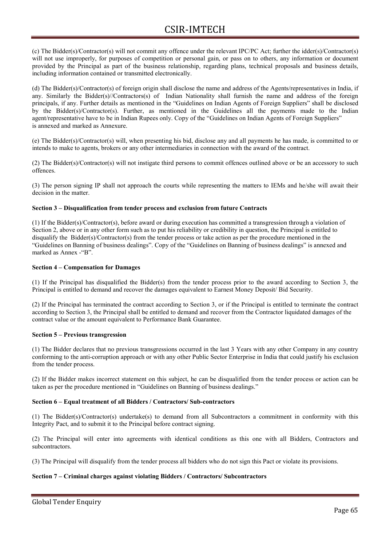(c) The Bidder(s)/Contractor(s) will not commit any offence under the relevant IPC/PC Act; further the idder(s)/Contractor(s) will not use improperly, for purposes of competition or personal gain, or pass on to others, any information or document provided by the Principal as part of the business relationship, regarding plans, technical proposals and business details, including information contained or transmitted electronically.

(d) The Bidder(s)/Contractor(s) of foreign origin shall disclose the name and address of the Agents/representatives in India, if any. Similarly the Bidder(s)//Contractors(s) of Indian Nationality shall furnish the name and address of the foreign principals, if any. Further details as mentioned in the "Guidelines on Indian Agents of Foreign Suppliers" shall be disclosed by the Bidder(s)/Contractor(s). Further, as mentioned in the Guidelines all the payments made to the Indian agent/representative have to be in Indian Rupees only. Copy of the "Guidelines on Indian Agents of Foreign Suppliers" is annexed and marked as Annexure.

(e) The Bidder(s)/Contractor(s) will, when presenting his bid, disclose any and all payments he has made, is committed to or intends to make to agents, brokers or any other intermediaries in connection with the award of the contract.

(2) The Bidder(s)/Contractor(s) will not instigate third persons to commit offences outlined above or be an accessory to such offences.

(3) The person signing IP shall not approach the courts while representing the matters to IEMs and he/she will await their decision in the matter.

#### Section 3 – Disqualification from tender process and exclusion from future Contracts

(1) If the Bidder(s)/Contractor(s), before award or during execution has committed a transgression through a violation of Section 2, above or in any other form such as to put his reliability or credibility in question, the Principal is entitled to disqualify the Bidder(s)/Contractor(s) from the tender process or take action as per the procedure mentioned in the "Guidelines on Banning of business dealings". Copy of the "Guidelines on Banning of business dealings" is annexed and marked as Annex -"B".

#### Section 4 – Compensation for Damages

(1) If the Principal has disqualified the Bidder(s) from the tender process prior to the award according to Section 3, the Principal is entitled to demand and recover the damages equivalent to Earnest Money Deposit/ Bid Security.

(2) If the Principal has terminated the contract according to Section 3, or if the Principal is entitled to terminate the contract according to Section 3, the Principal shall be entitled to demand and recover from the Contractor liquidated damages of the contract value or the amount equivalent to Performance Bank Guarantee.

#### Section 5 – Previous transgression

(1) The Bidder declares that no previous transgressions occurred in the last 3 Years with any other Company in any country conforming to the anti-corruption approach or with any other Public Sector Enterprise in India that could justify his exclusion from the tender process.

(2) If the Bidder makes incorrect statement on this subject, he can be disqualified from the tender process or action can be taken as per the procedure mentioned in "Guidelines on Banning of business dealings."

#### Section 6 – Equal treatment of all Bidders / Contractors/ Sub-contractors

(1) The Bidder(s)/Contractor(s) undertake(s) to demand from all Subcontractors a commitment in conformity with this Integrity Pact, and to submit it to the Principal before contract signing.

(2) The Principal will enter into agreements with identical conditions as this one with all Bidders, Contractors and subcontractors.

(3) The Principal will disqualify from the tender process all bidders who do not sign this Pact or violate its provisions.

#### Section 7 – Criminal charges against violating Bidders / Contractors/ Subcontractors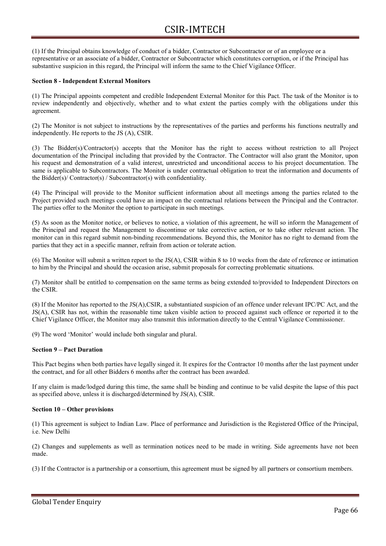(1) If the Principal obtains knowledge of conduct of a bidder, Contractor or Subcontractor or of an employee or a representative or an associate of a bidder, Contractor or Subcontractor which constitutes corruption, or if the Principal has substantive suspicion in this regard, the Principal will inform the same to the Chief Vigilance Officer.

#### Section 8 - Independent External Monitors

(1) The Principal appoints competent and credible Independent External Monitor for this Pact. The task of the Monitor is to review independently and objectively, whether and to what extent the parties comply with the obligations under this agreement.

(2) The Monitor is not subject to instructions by the representatives of the parties and performs his functions neutrally and independently. He reports to the JS (A), CSIR.

(3) The Bidder(s)/Contractor(s) accepts that the Monitor has the right to access without restriction to all Project documentation of the Principal including that provided by the Contractor. The Contractor will also grant the Monitor, upon his request and demonstration of a valid interest, unrestricted and unconditional access to his project documentation. The same is applicable to Subcontractors. The Monitor is under contractual obligation to treat the information and documents of the Bidder(s)/ Contractor(s) / Subcontractor(s) with confidentiality.

(4) The Principal will provide to the Monitor sufficient information about all meetings among the parties related to the Project provided such meetings could have an impact on the contractual relations between the Principal and the Contractor. The parties offer to the Monitor the option to participate in such meetings.

(5) As soon as the Monitor notice, or believes to notice, a violation of this agreement, he will so inform the Management of the Principal and request the Management to discontinue or take corrective action, or to take other relevant action. The monitor can in this regard submit non-binding recommendations. Beyond this, the Monitor has no right to demand from the parties that they act in a specific manner, refrain from action or tolerate action.

(6) The Monitor will submit a written report to the JS(A), CSIR within 8 to 10 weeks from the date of reference or intimation to him by the Principal and should the occasion arise, submit proposals for correcting problematic situations.

(7) Monitor shall be entitled to compensation on the same terms as being extended to/provided to Independent Directors on the CSIR.

(8) If the Monitor has reported to the JS(A),CSIR, a substantiated suspicion of an offence under relevant IPC/PC Act, and the JS(A), CSIR has not, within the reasonable time taken visible action to proceed against such offence or reported it to the Chief Vigilance Officer, the Monitor may also transmit this information directly to the Central Vigilance Commissioner.

(9) The word 'Monitor' would include both singular and plural.

#### Section 9 – Pact Duration

This Pact begins when both parties have legally singed it. It expires for the Contractor 10 months after the last payment under the contract, and for all other Bidders 6 months after the contract has been awarded.

If any claim is made/lodged during this time, the same shall be binding and continue to be valid despite the lapse of this pact as specified above, unless it is discharged/determined by JS(A), CSIR.

#### Section 10 – Other provisions

(1) This agreement is subject to Indian Law. Place of performance and Jurisdiction is the Registered Office of the Principal, i.e. New Delhi

(2) Changes and supplements as well as termination notices need to be made in writing. Side agreements have not been made.

(3) If the Contractor is a partnership or a consortium, this agreement must be signed by all partners or consortium members.